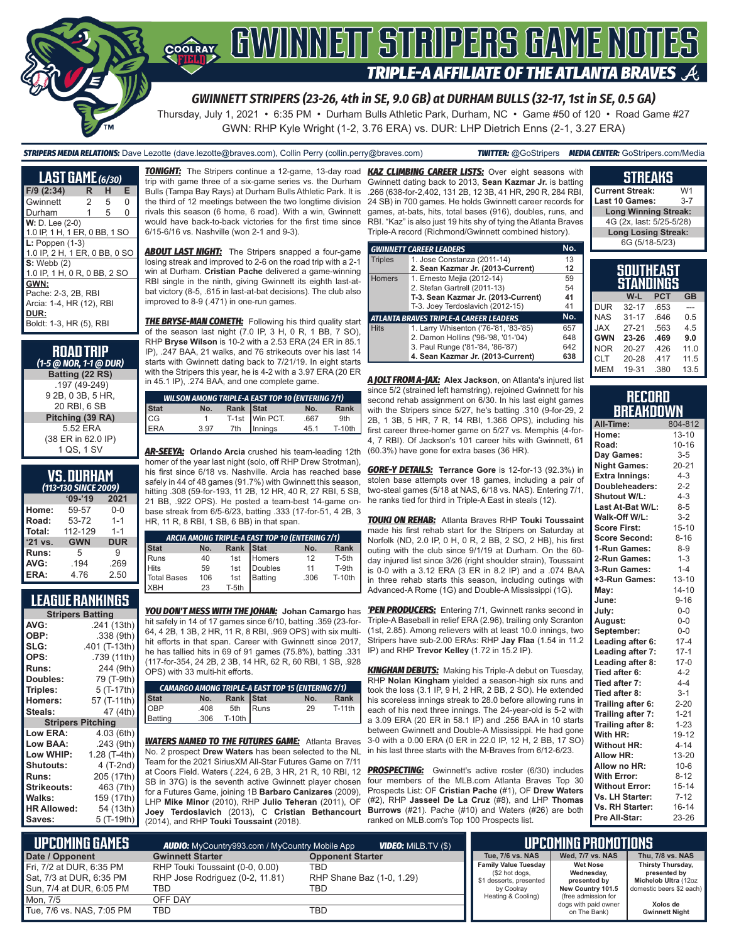

*GWINNETT STRIPERS (23-26, 4th in SE, 9.0 GB) at DURHAM BULLS (32-17, 1st in SE, 0.5 GA)*

Thursday, July 1, 2021 • 6:35 PM • Durham Bulls Athletic Park, Durham, NC • Game #50 of 120 • Road Game #27 GWN: RHP Kyle Wright (1-2, 3.76 ERA) vs. DUR: LHP Dietrich Enns (2-1, 3.27 ERA)

*STRIPERS MEDIA RELATIONS:* Dave Lezotte (dave.lezotte@braves.com), Collin Perry (collin.perry@braves.com) *TWITTER:* @GoStripers *MEDIA CENTER:* GoStripers.com/Media

### **STREAKS Current Streak:** W1

| <b>LAST GAME</b> (6/30)       |   |   |   |
|-------------------------------|---|---|---|
| $F/9$ (2:34)                  | R | н | Е |
| Gwinnett                      | 2 | 5 | 0 |
| Durham                        | 1 | 5 | 0 |
| $W: D. Lee (2-0)$             |   |   |   |
| 1.0 IP, 1 H, 1 ER, 0 BB, 1 SO |   |   |   |
| $L: Poppen(1-3)$              |   |   |   |
| 1.0 IP, 2 H, 1 ER, 0 BB, 0 SO |   |   |   |
| $S:$ Webb $(2)$               |   |   |   |
| 1.0 IP, 1 H, 0 R, 0 BB, 2 SO  |   |   |   |
| GWN:                          |   |   |   |
| Pache: 2-3, 2B, RBI           |   |   |   |
| Arcia: 1-4, HR (12), RBI      |   |   |   |
| DUR:                          |   |   |   |
| Boldt: 1-3, HR (5), RBI       |   |   |   |

| <b>ROAD TRIP</b><br>(1-5 @ NOR, 1-1 @ DUR) |
|--------------------------------------------|
| Batting (22 RS)                            |
| .197 (49-249)                              |
| 9 2B, 0 3B, 5 HR,                          |
| 20 RBI, 6 SB                               |
| Pitching (39 RA)                           |
| 5.52 ERA                                   |
| (38 ER in 62.0 IP)                         |
| 1 QS 1 SV                                  |

## **VS. DURHAM**

| (113-130 SINCE 2009) |            |            |  |  |
|----------------------|------------|------------|--|--|
|                      | $09 - 19$  | 2021       |  |  |
| Home:                | 59-57      | $0 - 0$    |  |  |
| Road:                | 53-72      | $1 - 1$    |  |  |
| Total:               | 112-129    | $1 - 1$    |  |  |
| $'21$ vs.            | <b>GWN</b> | <b>DUR</b> |  |  |
| Runs:                | 5          | g          |  |  |
| AVG:                 | .194       | .269       |  |  |
| ERA:                 | 4.76       | 2.50       |  |  |

### **LEAGUE RANKINGS**

| <b>Stripers Batting</b>  |               |
|--------------------------|---------------|
| AVG:                     | .241 (13th)   |
| OBP:                     | .338 (9th)    |
| SLG:                     | .401 (T-13th) |
| OPS:                     | .739 (11th)   |
| <b>Runs:</b>             | 244 (9th)     |
| Doubles:                 | 79 (T-9th)    |
| Triples:                 | 5 (T-17th)    |
| Homers:                  | 57 (T-11th)   |
| Steals:                  | 47 (4th)      |
| <b>Stripers Pitching</b> |               |
| Low ERA:                 | 4.03 (6th)    |
| Low BAA:                 | .243(9th)     |
| Low WHIP:                | 1.28 (T-4th)  |
| <b>Shutouts:</b>         | 4 (T-2nd)     |
| Runs:                    | 205 (17th)    |
| <b>Strikeouts:</b>       | 463 (7th)     |
| Walks:                   | 159 (17th)    |
| <b>HR Allowed:</b>       | 54 (13th)     |
| Saves:                   | 5 (T-19th)    |

trip with game three of a six-game series vs. the Durham Bulls (Tampa Bay Rays) at Durham Bulls Athletic Park. It is the third of 12 meetings between the two longtime division rivals this season (6 home, 6 road). With a win, Gwinnett would have back-to-back victories for the first time since 6/15-6/16 vs. Nashville (won 2-1 and 9-3).

**ABOUT LAST NIGHT:** The Stripers snapped a four-game losing streak and improved to 2-6 on the road trip with a 2-1 win at Durham. **Cristian Pache** delivered a game-winning RBI single in the ninth, giving Gwinnett its eighth last-atbat victory (8-5, .615 in last-at-bat decisions). The club also improved to 8-9 (.471) in one-run games.

**THE BRYSE-MAN COMETH:** Following his third quality start of the season last night (7.0 IP, 3 H, 0 R, 1 BB, 7 SO), RHP **Bryse Wilson** is 10-2 with a 2.53 ERA (24 ER in 85.1 IP), .247 BAA, 21 walks, and 76 strikeouts over his last 14 starts with Gwinnett dating back to 7/21/19. In eight starts with the Stripers this year, he is 4-2 with a 3.97 ERA (20 ER in 45.1 IP), .274 BAA, and one complete game.

| <b>WILSON AMONG TRIPLE-A EAST TOP 10 (ENTERING 7/1)</b> |              |  |                                           |      |          |
|---------------------------------------------------------|--------------|--|-------------------------------------------|------|----------|
|                                                         | No.          |  |                                           | No.  | Rank     |
|                                                         | $\mathbf{1}$ |  |                                           | .667 | 9th      |
| Stat<br>CG<br>ERA                                       | 3.97         |  | Rank Stat<br>T-1st Win PCT.<br>Th Innings | 45.1 | $T-10th$ |

*AR-SEEYA:* **Orlando Arcia** crushed his team-leading 12th homer of the year last night (solo, off RHP Drew Strotman), his first since 6/18 vs. Nashville. Arcia has reached base safely in 44 of 48 games (91.7%) with Gwinnett this season, hitting .308 (59-for-193, 11 2B, 12 HR, 40 R, 27 RBI, 5 SB, 21 BB, .922 OPS). He posted a team-best 14-game onbase streak from 6/5-6/23, batting .333 (17-for-51, 4 2B, 3 HR, 11 R, 8 RBI, 1 SB, 6 BB) in that span.

| ARCIA AMONG TRIPLE-A EAST TOP 10 (ENTERING 7/1) |     |           |         |                 |               |
|-------------------------------------------------|-----|-----------|---------|-----------------|---------------|
| <b>Stat</b>                                     | No. | Rank Stat |         | No.             | Rank          |
| <b>I</b> Runs                                   | 40  | 1st       | Homers  | 12 <sup>1</sup> | T-5th         |
| <b>Hits</b>                                     | 59  | 1st       | Doubles | 11              | T-9th         |
| Total Bases                                     | 106 | 1st       | Batting | .306            | <b>T-10th</b> |
| <b>XBH</b>                                      | 23  | T-5th     |         |                 |               |

*YOU DON'T MESS WITH THE JOHAN:* **Johan Camargo** has hit safely in 14 of 17 games since 6/10, batting .359 (23-for-64, 4 2B, 1 3B, 2 HR, 11 R, 8 RBI, .969 OPS) with six multihit efforts in that span. Career with Gwinnett since 2017, he has tallied hits in 69 of 91 games (75.8%), batting .331 (117-for-354, 24 2B, 2 3B, 14 HR, 62 R, 60 RBI, 1 SB, .928 OPS) with 33 multi-hit efforts.

|                |                  |                                 | <b>CAMARGO AMONG TRIPLE-A EAST TOP 15 (ENTERING 7/1)</b> |          |
|----------------|------------------|---------------------------------|----------------------------------------------------------|----------|
| <b>Stat</b>    | No.              |                                 | No.                                                      | Rank     |
| OBP            | $.408$<br>$.306$ |                                 | 29                                                       | $T-11th$ |
| <b>Batting</b> |                  | Rank Stat<br>5th Runs<br>T-10th |                                                          |          |

*WATERS NAMED TO THE FUTURES GAME:* Atlanta Braves No. 2 prospect **Drew Waters** has been selected to the NL Team for the 2021 SiriusXM All-Star Futures Game on 7/11 at Coors Field. Waters (.224, 6 2B, 3 HR, 21 R, 10 RBI, 12 SB in 37G) is the seventh active Gwinnett player chosen for a Futures Game, joining 1B **Barbaro Canizares** (2009), LHP **Mike Minor** (2010), RHP **Julio Teheran** (2011), OF **Joey Terdoslavich** (2013), C **Cristian Bethancourt** (2014), and RHP **Touki Toussaint** (2018).

*TONIGHT:* The Stripers continue a 12-game, 13-day road *KAZ CLIMBING CAREER LISTS:* Over eight seasons with Gwinnett dating back to 2013, **Sean Kazmar Jr.** is batting .266 (638-for-2,402, 131 2B, 12 3B, 41 HR, 290 R, 284 RBI, 24 SB) in 700 games. He holds Gwinnett career records for games, at-bats, hits, total bases (916), doubles, runs, and RBI. "Kaz" is also just 19 hits shy of tying the Atlanta Braves Triple-A record (Richmond/Gwinnett combined history).

|                | <b>GWINNETT CAREER LEADERS</b>                | No. |
|----------------|-----------------------------------------------|-----|
| <b>Triples</b> | 1. Jose Constanza (2011-14)                   | 13  |
|                | 2. Sean Kazmar Jr. (2013-Current)             | 12  |
| <b>Homers</b>  | 1. Ernesto Mejia (2012-14)                    | 59  |
|                | 2. Stefan Gartrell (2011-13)                  | 54  |
|                | T-3. Sean Kazmar Jr. (2013-Current)           | 41  |
|                | T-3. Joey Terdoslavich (2012-15)              | 41  |
|                | <b>ATLANTA BRAVES TRIPLE-A CAREER LEADERS</b> | No. |
| <b>Hits</b>    | 1. Larry Whisenton ('76-'81, '83-'85)         | 657 |
|                | 2. Damon Hollins ('96-'98, '01-'04)           | 648 |
|                | 3. Paul Runge ('81-'84, '86-'87)              | 642 |
|                | 4. Sean Kazmar Jr. (2013-Current)             | 638 |

*A JOLT FROM A-JAX:* **Alex Jackson**, on Atlanta's injured list since 5/2 (strained left hamstring), rejoined Gwinnett for his second rehab assignment on 6/30. In his last eight games with the Stripers since 5/27, he's batting .310 (9-for-29, 2 2B, 1 3B, 5 HR, 7 R, 14 RBI, 1.366 OPS), including his first career three-homer game on 5/27 vs. Memphis (4-for-4, 7 RBI). Of Jackson's 101 career hits with Gwinnett, 61 (60.3%) have gone for extra bases (36 HR).

*GORE-Y DETAILS:* **Terrance Gore** is 12-for-13 (92.3%) in stolen base attempts over 18 games, including a pair of two-steal games (5/18 at NAS, 6/18 vs. NAS). Entering 7/1, he ranks tied for third in Triple-A East in steals (12).

*TOUKI ON REHAB:* Atlanta Braves RHP **Touki Toussaint** made his first rehab start for the Stripers on Saturday at Norfolk (ND, 2.0 IP, 0 H, 0 R, 2 BB, 2 SO, 2 HB), his first outing with the club since 9/1/19 at Durham. On the 60 day injured list since 3/26 (right shoulder strain), Toussaint is 0-0 with a 3.12 ERA (3 ER in 8.2 IP) and a .074 BAA in three rehab starts this season, including outings with Advanced-A Rome (1G) and Double-A Mississippi (1G).

*'PEN PRODUCERS:* Entering 7/1, Gwinnett ranks second in Triple-A Baseball in relief ERA (2.96), trailing only Scranton (1st, 2.85). Among relievers with at least 10.0 innings, two Stripers have sub-2.00 ERAs: RHP **Jay Flaa** (1.54 in 11.2 IP) and RHP **Trevor Kelley** (1.72 in 15.2 IP).

*KINGHAM DEBUTS:* Making his Triple-A debut on Tuesday, RHP **Nolan Kingham** yielded a season-high six runs and took the loss (3.1 IP, 9 H, 2 HR, 2 BB, 2 SO). He extended his scoreless innings streak to 28.0 before allowing runs in each of his next three innings. The 24-year-old is 5-2 with a 3.09 ERA (20 ER in 58.1 IP) and .256 BAA in 10 starts between Gwinnett and Double-A Mississippi. He had gone 3-0 with a 0.00 ERA (0 ER in 22.0 IP, 12 H, 2 BB, 17 SO) in his last three starts with the M-Braves from 6/12-6/23.

**PROSPECTING:** Gwinnett's active roster (6/30) includes four members of the MLB.com Atlanta Braves Top 30 Prospects List: OF **Cristian Pache** (#1), OF **Drew Waters** (#2), RHP **Jasseel De La Cruz** (#8), and LHP **Thomas Burrows** (#21). Pache (#10) and Waters (#26) are both ranked on MLB.com's Top 100 Prospects list.

| ,,,,,,,,,,,,,,,,            |         |
|-----------------------------|---------|
| <b>Last 10 Games:</b>       | $3 - 7$ |
| <b>Long Winning Streak:</b> |         |
| 4G (2x, last: 5/25-5/28)    |         |
| <b>Long Losing Streak:</b>  |         |
| 6G (5/18-5/23)              |         |
|                             |         |
|                             |         |
|                             |         |

|            | <b>SOUTHEAST</b><br>STANDINGS |            |           |
|------------|-------------------------------|------------|-----------|
|            | W-L                           | <b>PCT</b> | <b>GB</b> |
| <b>DUR</b> | $32 - 17$                     | .653       |           |
| <b>NAS</b> | $31 - 17$                     | .646       | 0.5       |
| <b>JAX</b> | $27 - 21$                     | .563       | 45        |
| <b>GWN</b> | 23-26                         | .469       | 9.0       |
| <b>NOR</b> | $20 - 27$                     | .426       | 11.0      |
| <b>CLT</b> | 20-28                         | .417       | 11.5      |
| <b>MEM</b> | 19-31                         | .380       | 13.5      |

|                  | <b>RECORD</b> |  |
|------------------|---------------|--|
| <b>BREAKDOWN</b> |               |  |

| All-Time:             | 804-812   |
|-----------------------|-----------|
| Home:                 | $13 - 10$ |
| Road:                 | $10 - 16$ |
| Day Games:            | $3 - 5$   |
| <b>Night Games:</b>   | $20 - 21$ |
| <b>Extra Innings:</b> | $4 - 3$   |
| Doubleheaders:        | $2 - 2$   |
| Shutout W/L:          | $4 - 3$   |
| Last At-Bat W/L:      | $8 - 5$   |
| Walk-Off W/L:         | $3 - 2$   |
| <b>Score First:</b>   | $15 - 10$ |
| <b>Score Second:</b>  | $8 - 16$  |
| 1-Run Games:          | $8 - 9$   |
| 2-Run Games:          | $1 - 3$   |
| 3-Run Games:          | $1 - 4$   |
| +3-Run Games:         | $13 - 10$ |
| May:                  | $14 - 10$ |
| June:                 | $9 - 16$  |
| July:                 | $0-0$     |
| August:               | $0-0$     |
| September:            | $0-0$     |
| Leading after 6:      | $17 - 4$  |
| Leading after 7:      | $17 - 1$  |
| Leading after 8:      | $17-0$    |
| Tied after 6:         | $4 - 2$   |
| Tied after 7:         | $4 - 4$   |
| Tied after 8:         | $3 - 1$   |
| Trailing after 6:     | $2 - 20$  |
| Trailing after 7:     | $1 - 21$  |
| Trailing after 8:     | $1 - 23$  |
| With HR:              | 19-12     |
| <b>Without HR:</b>    | $4 - 14$  |
| Allow HR:             | 13-20     |
| Allow no HR:          | $10 - 6$  |
| <b>With Error:</b>    | $8 - 12$  |
| <b>Without Error:</b> | $15 - 14$ |
| Vs. LH Starter:       | $7 - 12$  |
| Vs. RH Starter:       | $16 - 14$ |
| Pre All-Star:         | 23-26     |

| <b>UPCOMING GAMES</b>                                  | <b>AUDIO:</b> MyCountry993.com / MyCountry Mobile App              | <b>VIDEO:</b> Milb.TV (\$)       |                                                                          | <b>AIPCOMING PROMOTIONS</b>                   |                                                                  |
|--------------------------------------------------------|--------------------------------------------------------------------|----------------------------------|--------------------------------------------------------------------------|-----------------------------------------------|------------------------------------------------------------------|
| Date / Opponent                                        | <b>Gwinnett Starter</b>                                            | <b>Opponent Starter</b>          | <b>Tue, 7/6 vs. NAS</b>                                                  | Wed, 7/7 vs. NAS                              | Thu, 7/8 vs. NAS                                                 |
| Fri, 7/2 at DUR, 6:35 PM<br>  Sat, 7/3 at DUR, 6:35 PM | RHP Touki Toussaint (0-0, 0.00)<br>RHP Jose Rodriguez (0-2, 11.81) | TBD<br>RHP Shane Baz (1-0, 1.29) | <b>Family Value Tuesday</b><br>(\$2 hot dogs,<br>\$1 desserts, presented | <b>Wet Nose</b><br>Wednesday,<br>presented by | <b>Thirsty Thursday,</b><br>presented by<br>Michelob Ultra (12oz |
| Sun, 7/4 at DUR, 6:05 PM                               | TBD                                                                | TBD                              | by Coolray                                                               | New Country 101.5                             | domestic beers \$2 each)                                         |
| Mon. 7/5                                               | OFF DAY                                                            |                                  | Heating & Cooling)                                                       | (free admission for<br>dogs with paid owner   | Xolos de                                                         |
| l Tue. 7/6 vs. NAS. 7:05 PM                            | TBD                                                                | TBD                              |                                                                          | on The Bank)                                  | <b>Gwinnett Night</b>                                            |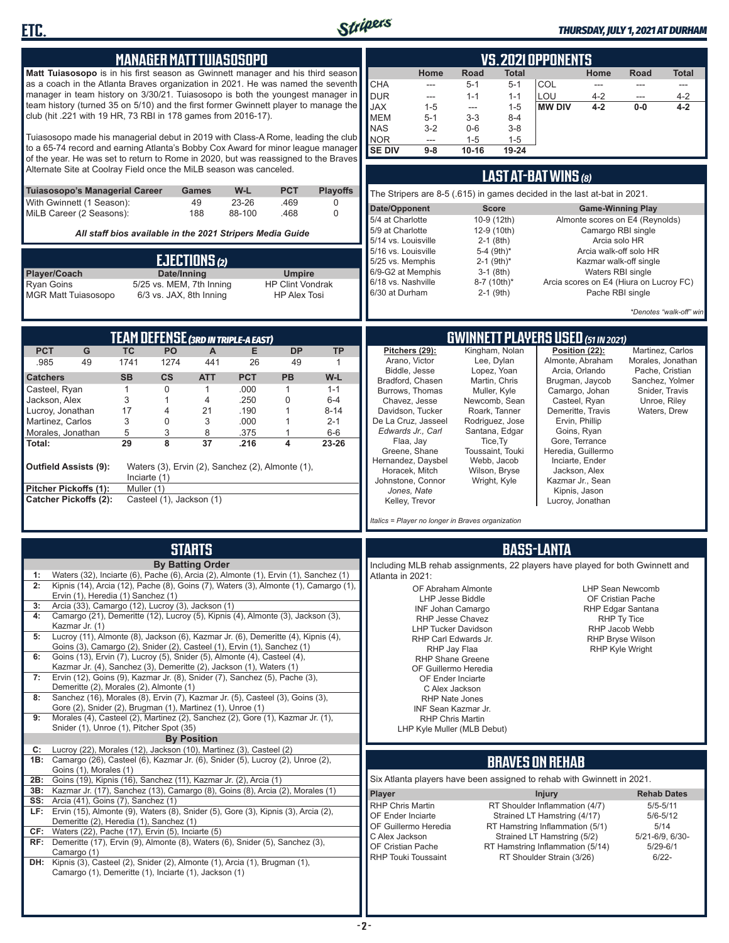

**ETC.**

### *THURSDAY, JULY 1, 2021 AT DURHAM*

|                                                                                                                                                                         |                | <b>MANAGER MATT TUIASOSOPO</b>                                                                                                                               |              |                                          |                            |                                         |                                                                               |                                 |                                          | <b>VS.2021 OPPONENTS</b>                                        |                          |                                            |                                    |
|-------------------------------------------------------------------------------------------------------------------------------------------------------------------------|----------------|--------------------------------------------------------------------------------------------------------------------------------------------------------------|--------------|------------------------------------------|----------------------------|-----------------------------------------|-------------------------------------------------------------------------------|---------------------------------|------------------------------------------|-----------------------------------------------------------------|--------------------------|--------------------------------------------|------------------------------------|
| <b>Matt Tuiasosopo</b> is in his first season as Gwinnett manager and his third season                                                                                  |                |                                                                                                                                                              |              |                                          |                            |                                         | Home                                                                          | Road                            | Total                                    |                                                                 | Home                     | Road                                       | <b>Total</b>                       |
| as a coach in the Atlanta Braves organization in 2021. He was named the seventh                                                                                         |                |                                                                                                                                                              |              |                                          |                            | <b>CHA</b>                              | ---                                                                           | $5 - 1$                         | $5 - 1$                                  | COL                                                             | ---                      | ---                                        | ---                                |
| manager in team history on 3/30/21. Tuiasosopo is both the youngest manager in<br>team history (turned 35 on 5/10) and the first former Gwinnett player to manage the   |                |                                                                                                                                                              |              |                                          |                            | <b>DUR</b><br>JAX                       | $\qquad \qquad \cdots$<br>$1 - 5$                                             | $1 - 1$<br>$\sim$ $\sim$        | $1 - 1$<br>$1 - 5$                       | LOU<br><b>MW DIV</b>                                            | 4-2<br>$4 - 2$           | ---<br>$0-0$                               | 4-2<br>$4 - 2$                     |
| club (hit .221 with 19 HR, 73 RBI in 178 games from 2016-17).                                                                                                           |                |                                                                                                                                                              |              |                                          |                            | <b>MEM</b>                              | $5 - 1$                                                                       | $3 - 3$                         | $8 - 4$                                  |                                                                 |                          |                                            |                                    |
|                                                                                                                                                                         |                |                                                                                                                                                              |              |                                          |                            | <b>NAS</b>                              | $3-2$                                                                         | $0-6$                           | $3 - 8$                                  |                                                                 |                          |                                            |                                    |
| Tuiasosopo made his managerial debut in 2019 with Class-A Rome, leading the club                                                                                        |                |                                                                                                                                                              |              |                                          |                            | NOR                                     | $\overline{\phantom{m}}$                                                      | $1 - 5$                         | $1 - 5$                                  |                                                                 |                          |                                            |                                    |
| to a 65-74 record and earning Atlanta's Bobby Cox Award for minor league manager<br>of the year. He was set to return to Rome in 2020, but was reassigned to the Braves |                |                                                                                                                                                              |              |                                          |                            | <b>SE DIV</b>                           | $9 - 8$                                                                       | $10 - 16$                       | 19-24                                    |                                                                 |                          |                                            |                                    |
| Alternate Site at Coolray Field once the MiLB season was canceled.                                                                                                      |                |                                                                                                                                                              |              |                                          |                            |                                         |                                                                               |                                 |                                          |                                                                 |                          |                                            |                                    |
|                                                                                                                                                                         |                |                                                                                                                                                              |              |                                          |                            |                                         |                                                                               |                                 |                                          | LAST AT-BAT WINS (8)                                            |                          |                                            |                                    |
| <b>Tuiasosopo's Managerial Career</b><br>With Gwinnett (1 Season):                                                                                                      |                | Games<br>49                                                                                                                                                  | W-L<br>23-26 | <b>PCT</b><br>.469                       | <b>Playoffs</b><br>0       |                                         | The Stripers are 8-5 (.615) in games decided in the last at-bat in 2021.      |                                 |                                          |                                                                 |                          |                                            |                                    |
| MiLB Career (2 Seasons):                                                                                                                                                |                | 188                                                                                                                                                          | 88-100       | .468                                     | $\Omega$                   | Date/Opponent                           |                                                                               |                                 | <b>Score</b>                             |                                                                 | <b>Game-Winning Play</b> |                                            |                                    |
|                                                                                                                                                                         |                | 5/4 at Charlotte<br>5/9 at Charlotte                                                                                                                         |              |                                          | 10-9 (12th)<br>12-9 (10th) |                                         | Camargo RBI single                                                            | Almonte scores on E4 (Reynolds) |                                          |                                                                 |                          |                                            |                                    |
|                                                                                                                                                                         |                | All staff bios available in the 2021 Stripers Media Guide                                                                                                    |              |                                          |                            | 5/14 vs. Louisville                     |                                                                               |                                 | $2-1$ (8th)                              |                                                                 | Arcia solo HR            |                                            |                                    |
|                                                                                                                                                                         |                |                                                                                                                                                              |              |                                          |                            | 5/16 vs. Louisville                     |                                                                               |                                 | 5-4 $(9th)*$                             |                                                                 |                          | Arcia walk-off solo HR                     |                                    |
|                                                                                                                                                                         |                | EJECTIONS (2)                                                                                                                                                |              |                                          |                            | 5/25 vs. Memphis                        |                                                                               |                                 | $2 - 1$ (9th) <sup>*</sup>               |                                                                 |                          | Kazmar walk-off single                     |                                    |
| Player/Coach<br><b>Ryan Goins</b>                                                                                                                                       |                | Date/Inning<br>5/25 vs. MEM, 7th Inning                                                                                                                      |              | <b>Umpire</b><br><b>HP Clint Vondrak</b> |                            | 6/9-G2 at Memphis<br>6/18 vs. Nashville |                                                                               |                                 | $3-1$ (8th)<br>$8-7$ (10th) <sup>*</sup> |                                                                 | Waters RBI single        | Arcia scores on E4 (Hiura on Lucroy FC)    |                                    |
| <b>MGR Matt Tuiasosopo</b>                                                                                                                                              |                | 6/3 vs. JAX, 8th Inning                                                                                                                                      |              | <b>HP Alex Tosi</b>                      |                            | 6/30 at Durham                          |                                                                               |                                 | $2-1$ (9th)                              |                                                                 | Pache RBI single         |                                            |                                    |
|                                                                                                                                                                         |                |                                                                                                                                                              |              |                                          |                            |                                         |                                                                               |                                 |                                          |                                                                 |                          |                                            | *Denotes "walk-off" win            |
|                                                                                                                                                                         |                |                                                                                                                                                              |              |                                          |                            |                                         |                                                                               |                                 |                                          |                                                                 |                          |                                            |                                    |
|                                                                                                                                                                         |                | <b>TEAM DEFENSE (3RD IN TRIPLE-A EAST)</b>                                                                                                                   |              |                                          |                            |                                         |                                                                               |                                 |                                          | <b>GWINNETT PLAYERS USED (51 IN 2021)</b>                       |                          |                                            |                                    |
| <b>PCT</b><br>G                                                                                                                                                         | <b>TC</b>      | PO<br>A                                                                                                                                                      | Е            | <b>DP</b>                                | <b>TP</b>                  |                                         | Pitchers (29):                                                                |                                 | Kingham, Nolan                           |                                                                 | Position (22):           |                                            | Martinez, Carlos                   |
| 49<br>.985                                                                                                                                                              | 1741           | 441<br>1274                                                                                                                                                  | 26           | 49                                       | 1                          |                                         | Arano, Victor                                                                 |                                 | Lee, Dylan                               | Almonte, Abraham                                                |                          |                                            | Morales, Jonathan                  |
| <b>Catchers</b>                                                                                                                                                         | <b>SB</b>      | $\mathsf{cs}$<br><b>ATT</b>                                                                                                                                  | <b>PCT</b>   | PB                                       | W-L                        |                                         | Biddle, Jesse<br>Bradford, Chasen                                             |                                 | Lopez, Yoan<br>Martin, Chris             | Brugman, Jaycob                                                 | Arcia, Orlando           |                                            | Pache, Cristian<br>Sanchez, Yolmer |
| Casteel, Ryan                                                                                                                                                           | $\mathbf{1}$   | 0<br>1                                                                                                                                                       | .000         | $\mathbf{1}$                             | $1 - 1$                    |                                         | Burrows, Thomas                                                               |                                 | Muller, Kyle                             | Camargo, Johan                                                  |                          | Snider, Travis                             |                                    |
| Jackson, Alex<br>Lucroy, Jonathan                                                                                                                                       | 3<br>17        | 4<br>1<br>21                                                                                                                                                 | .250<br>.190 | $\mathbf 0$<br>$\mathbf{1}$              | $6 - 4$<br>$8 - 14$        |                                         | Chavez, Jesse<br>Davidson, Tucker                                             |                                 | Newcomb, Sean<br>Roark, Tanner           | Casteel, Ryan                                                   | Demeritte, Travis        | Unroe, Riley<br>Waters, Drew               |                                    |
| Martinez, Carlos                                                                                                                                                        | 3              | 4<br>3<br>0                                                                                                                                                  | .000         | $\mathbf{1}$                             | $2 - 1$                    |                                         | De La Cruz, Jasseel                                                           |                                 | Rodriguez, Jose                          | Ervin, Phillip                                                  |                          |                                            |                                    |
| Morales, Jonathan                                                                                                                                                       | 5              | 3<br>8                                                                                                                                                       | .375         | 1                                        | $6-6$                      |                                         | Edwards Jr., Carl                                                             |                                 | Santana, Edgar                           | Goins, Ryan                                                     |                          |                                            |                                    |
| Total:                                                                                                                                                                  | 29             | 8<br>37                                                                                                                                                      | .216         | 4                                        | 23-26                      |                                         | Flaa, Jay<br>Greene, Shane                                                    |                                 | Tice, Ty<br>Toussaint, Touki             | Heredia, Guillermo                                              | Gore, Terrance           |                                            |                                    |
|                                                                                                                                                                         |                |                                                                                                                                                              |              |                                          |                            |                                         | Hernandez, Daysbel                                                            |                                 | Webb, Jacob                              | Inciarte, Ender                                                 |                          |                                            |                                    |
| <b>Outfield Assists (9):</b>                                                                                                                                            | Inciarte $(1)$ | Waters (3), Ervin (2), Sanchez (2), Almonte (1),                                                                                                             |              |                                          |                            |                                         | Horacek, Mitch                                                                |                                 | Wilson, Bryse                            |                                                                 | Jackson, Alex            |                                            |                                    |
| Pitcher Pickoffs (1):                                                                                                                                                   | Muller (1)     |                                                                                                                                                              |              |                                          |                            |                                         | Johnstone, Connor<br>Jones, Nate                                              |                                 | Wright, Kyle                             | Kazmar Jr., Sean<br>Kipnis, Jason                               |                          |                                            |                                    |
| <b>Catcher Pickoffs (2):</b>                                                                                                                                            |                | Casteel (1), Jackson (1)                                                                                                                                     |              |                                          |                            |                                         | Kelley, Trevor                                                                |                                 |                                          |                                                                 | Lucroy, Jonathan         |                                            |                                    |
|                                                                                                                                                                         |                |                                                                                                                                                              |              |                                          |                            |                                         | Italics = Player no longer in Braves organization                             |                                 |                                          |                                                                 |                          |                                            |                                    |
|                                                                                                                                                                         |                |                                                                                                                                                              |              |                                          |                            |                                         |                                                                               |                                 |                                          |                                                                 |                          |                                            |                                    |
|                                                                                                                                                                         |                | <b>STARTS</b>                                                                                                                                                |              |                                          |                            |                                         |                                                                               |                                 |                                          | <b>BASS-LANTA</b>                                               |                          |                                            |                                    |
|                                                                                                                                                                         |                | <b>By Batting Order</b>                                                                                                                                      |              |                                          |                            |                                         | Including MLB rehab assignments, 22 players have played for both Gwinnett and |                                 |                                          |                                                                 |                          |                                            |                                    |
| 1:                                                                                                                                                                      |                | Waters (32), Inciarte (6), Pache (6), Arcia (2), Almonte (1), Ervin (1), Sanchez (1)                                                                         |              |                                          |                            | Atlanta in 2021:                        |                                                                               |                                 |                                          |                                                                 |                          |                                            |                                    |
| 2:                                                                                                                                                                      |                | Kipnis (14), Arcia (12), Pache (8), Goins (7), Waters (3), Almonte (1), Camargo (1),                                                                         |              |                                          |                            |                                         | OF Abraham Almonte                                                            |                                 |                                          |                                                                 |                          | <b>LHP Sean Newcomb</b>                    |                                    |
| Ervin (1), Heredia (1) Sanchez (1)<br>3:                                                                                                                                |                | Arcia (33), Camargo (12), Lucroy (3), Jackson (1)                                                                                                            |              |                                          |                            |                                         | LHP Jesse Biddle                                                              |                                 |                                          |                                                                 |                          | OF Cristian Pache                          |                                    |
| 4:                                                                                                                                                                      |                | Camargo (21), Demeritte (12), Lucroy (5), Kipnis (4), Almonte (3), Jackson (3),                                                                              |              |                                          |                            |                                         | <b>INF Johan Camargo</b><br>RHP Jesse Chavez                                  |                                 |                                          |                                                                 |                          | RHP Edgar Santana<br>RHP Ty Tice           |                                    |
| Kazmar Jr. (1)                                                                                                                                                          |                |                                                                                                                                                              |              |                                          |                            |                                         | <b>LHP Tucker Davidson</b>                                                    |                                 |                                          |                                                                 |                          | RHP Jacob Webb                             |                                    |
| 5:                                                                                                                                                                      |                | Lucroy (11), Almonte (8), Jackson (6), Kazmar Jr. (6), Demeritte (4), Kipnis (4),<br>Goins (3), Camargo (2), Snider (2), Casteel (1), Ervin (1), Sanchez (1) |              |                                          |                            |                                         | RHP Carl Edwards Jr.<br>RHP Jay Flaa                                          |                                 |                                          |                                                                 |                          | <b>RHP Bryse Wilson</b><br>RHP Kyle Wright |                                    |
| 6:                                                                                                                                                                      |                | Goins (13), Ervin (7), Lucroy (5), Snider (5), Almonte (4), Casteel (4),                                                                                     |              |                                          |                            |                                         | <b>RHP Shane Greene</b>                                                       |                                 |                                          |                                                                 |                          |                                            |                                    |
|                                                                                                                                                                         |                | Kazmar Jr. (4), Sanchez (3), Demeritte (2), Jackson (1), Waters (1)                                                                                          |              |                                          |                            |                                         | OF Guillermo Heredia                                                          |                                 |                                          |                                                                 |                          |                                            |                                    |
| 7:<br>Demeritte (2), Morales (2), Almonte (1)                                                                                                                           |                | Ervin (12), Goins (9), Kazmar Jr. (8), Snider (7), Sanchez (5), Pache (3),                                                                                   |              |                                          |                            |                                         | OF Ender Inciarte<br>C Alex Jackson                                           |                                 |                                          |                                                                 |                          |                                            |                                    |
| 8:                                                                                                                                                                      |                | Sanchez (16), Morales (8), Ervin (7), Kazmar Jr. (5), Casteel (3), Goins (3),                                                                                |              |                                          |                            |                                         | <b>RHP Nate Jones</b>                                                         |                                 |                                          |                                                                 |                          |                                            |                                    |
|                                                                                                                                                                         |                | Gore (2), Snider (2), Brugman (1), Martinez (1), Unroe (1)                                                                                                   |              |                                          |                            |                                         | INF Sean Kazmar Jr.                                                           |                                 |                                          |                                                                 |                          |                                            |                                    |
| 9:<br>Snider (1), Unroe (1), Pitcher Spot (35)                                                                                                                          |                | Morales (4), Casteel (2), Martinez (2), Sanchez (2), Gore (1), Kazmar Jr. (1),                                                                               |              |                                          |                            |                                         | <b>RHP Chris Martin</b><br>LHP Kyle Muller (MLB Debut)                        |                                 |                                          |                                                                 |                          |                                            |                                    |
|                                                                                                                                                                         |                | <b>By Position</b>                                                                                                                                           |              |                                          |                            |                                         |                                                                               |                                 |                                          |                                                                 |                          |                                            |                                    |
| C:                                                                                                                                                                      |                | Lucroy (22), Morales (12), Jackson (10), Martinez (3), Casteel (2)                                                                                           |              |                                          |                            |                                         |                                                                               |                                 |                                          |                                                                 |                          |                                            |                                    |
| 1B: Camargo (26), Casteel (6), Kazmar Jr. (6), Snider (5), Lucroy (2), Unroe (2),<br>Goins (1), Morales (1)                                                             |                |                                                                                                                                                              |              |                                          |                            |                                         |                                                                               |                                 |                                          | <b>BRAVES ON REHAB</b>                                          |                          |                                            |                                    |
| 2B:                                                                                                                                                                     |                | Goins (19), Kipnis (16), Sanchez (11), Kazmar Jr. (2), Arcia (1)                                                                                             |              |                                          |                            |                                         | Six Atlanta players have been assigned to rehab with Gwinnett in 2021.        |                                 |                                          |                                                                 |                          |                                            |                                    |
| 3B:                                                                                                                                                                     |                | Kazmar Jr. (17), Sanchez (13), Camargo (8), Goins (8), Arcia (2), Morales (1)                                                                                |              |                                          |                            | Player                                  |                                                                               |                                 |                                          | <b>Injury</b>                                                   |                          | <b>Rehab Dates</b>                         |                                    |
| <b>SS:</b> Arcia (41), Goins (7), Sanchez (1)<br>LF: Ervin (15), Almonte (9), Waters (8), Snider (5), Gore (3), Kipnis (3), Arcia (2),                                  |                |                                                                                                                                                              |              |                                          |                            | <b>RHP Chris Martin</b>                 |                                                                               |                                 |                                          | RT Shoulder Inflammation (4/7)                                  |                          | $5/5 - 5/11$                               |                                    |
| Demeritte (2), Heredia (1), Sanchez (1)                                                                                                                                 |                |                                                                                                                                                              |              |                                          |                            | OF Ender Inciarte                       | OF Guillermo Heredia                                                          |                                 |                                          | Strained LT Hamstring (4/17)<br>RT Hamstring Inflammation (5/1) |                          | $5/6 - 5/12$<br>5/14                       |                                    |
| $CF:$ Waters (22), Pache (17), Ervin (5), Inciarte (5)                                                                                                                  |                |                                                                                                                                                              |              |                                          |                            | C Alex Jackson                          |                                                                               |                                 |                                          | Strained LT Hamstring (5/2)                                     |                          | 5/21-6/9, 6/30-                            |                                    |
| RF: Demeritte (17), Ervin (9), Almonte (8), Waters (6), Snider (5), Sanchez (3),<br>Camargo (1)                                                                         |                |                                                                                                                                                              |              |                                          |                            | OF Cristian Pache                       |                                                                               |                                 |                                          | RT Hamstring Inflammation (5/14)                                |                          | $5/29 - 6/1$                               |                                    |
| DH: Kipnis (3), Casteel (2), Snider (2), Almonte (1), Arcia (1), Brugman (1),                                                                                           |                |                                                                                                                                                              |              |                                          |                            |                                         | <b>RHP Touki Toussaint</b>                                                    |                                 |                                          | RT Shoulder Strain (3/26)                                       |                          | $6/22 -$                                   |                                    |
|                                                                                                                                                                         |                | Camargo (1), Demeritte (1), Inciarte (1), Jackson (1)                                                                                                        |              |                                          |                            |                                         |                                                                               |                                 |                                          |                                                                 |                          |                                            |                                    |
|                                                                                                                                                                         |                |                                                                                                                                                              |              |                                          |                            |                                         |                                                                               |                                 |                                          |                                                                 |                          |                                            |                                    |
|                                                                                                                                                                         |                |                                                                                                                                                              |              |                                          |                            |                                         |                                                                               |                                 |                                          |                                                                 |                          |                                            |                                    |
|                                                                                                                                                                         |                |                                                                                                                                                              |              |                                          |                            |                                         |                                                                               |                                 |                                          |                                                                 |                          |                                            |                                    |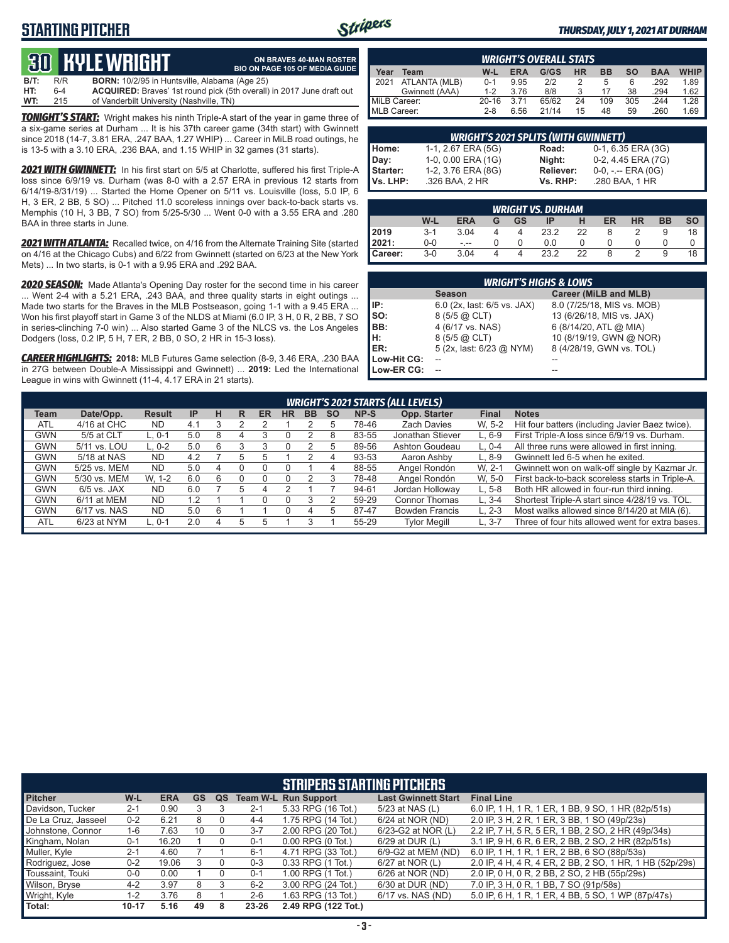# **STARTING PITCHER**



**ON BRAVES 40-MAN ROSTER**

### *THURSDAY, JULY 1, 2021 AT DURHAM*

# **30****KYLE WRIGHT**

**B/T:** R/R **BORN:** 10/2/95 in Huntsville, Alabama (Age 25) **HT:** 6-4 **ACQUIRED:** Braves' 1st round pick (5th overall) in 2017 June draft out **BIO ON PAGE 105 OF MEDIA GUIDE**

**TONIGHT'S START:** Wright makes his ninth Triple-A start of the year in game three of **WT:** 215 of Vanderbilt University (Nashville, TN)

a six-game series at Durham ... It is his 37th career game (34th start) with Gwinnett since 2018 (14-7, 3.81 ERA, .247 BAA, 1.27 WHIP) ... Career in MiLB road outings, he is 13-5 with a 3.10 ERA, .236 BAA, and 1.15 WHIP in 32 games (31 starts).

*2021 WITH GWINNETT:* In his first start on 5/5 at Charlotte, suffered his first Triple-A loss since 6/9/19 vs. Durham (was 8-0 with a 2.57 ERA in previous 12 starts from 6/14/19-8/31/19) ... Started the Home Opener on 5/11 vs. Louisville (loss, 5.0 IP, 6 H, 3 ER, 2 BB, 5 SO) ... Pitched 11.0 scoreless innings over back-to-back starts vs. Memphis (10 H, 3 BB, 7 SO) from 5/25-5/30 ... Went 0-0 with a 3.55 ERA and .280 BAA in three starts in June.

*2021 WITH ATLANTA:* Recalled twice, on 4/16 from the Alternate Training Site (started on 4/16 at the Chicago Cubs) and 6/22 from Gwinnett (started on 6/23 at the New York Mets) ... In two starts, is 0-1 with a 9.95 ERA and .292 BAA.

*2020 SEASON:* Made Atlanta's Opening Day roster for the second time in his career ... Went 2-4 with a 5.21 ERA, .243 BAA, and three quality starts in eight outings ... Made two starts for the Braves in the MLB Postseason, going 1-1 with a 9.45 ERA ... Won his first playoff start in Game 3 of the NLDS at Miami (6.0 IP, 3 H, 0 R, 2 BB, 7 SO in series-clinching 7-0 win) ... Also started Game 3 of the NLCS vs. the Los Angeles Dodgers (loss, 0.2 IP, 5 H, 7 ER, 2 BB, 0 SO, 2 HR in 15-3 loss).

*CAREER HIGHLIGHTS:* **2018:** MLB Futures Game selection (8-9, 3.46 ERA, .230 BAA in 27G between Double-A Mississippi and Gwinnett) ... **2019:** Led the International League in wins with Gwinnett (11-4, 4.17 ERA in 21 starts).

| <b>WRIGHT'S OVERALL STATS</b> |                |           |            |       |    |     |     |            |             |  |
|-------------------------------|----------------|-----------|------------|-------|----|-----|-----|------------|-------------|--|
| Year                          | Team           | W-L       | <b>ERA</b> | G/GS  | HR | ВB  | so  | <b>BAA</b> | <b>WHIP</b> |  |
| 12021                         | ATLANTA (MLB)  | $0 - 1$   | 9.95       | 212   |    | 5   | 6   | .292       | 1.89        |  |
|                               | Gwinnett (AAA) | $1 - 2$   | 3.76       | 8/8   |    |     | 38  | .294       | 1.62        |  |
| MiLB Career:                  |                | $20 - 16$ | 3 7 1      | 65/62 | 24 | 109 | 305 | .244       | 1.28        |  |
| MLB Career:                   |                | $2 - 8$   | 6.56       | 21/14 | 15 | 48  | 59  | .260       | 1.69        |  |

| <b>WRIGHT'S 2021 SPLITS (WITH GWINNETT)</b> |                    |                  |                     |  |  |  |  |  |  |  |
|---------------------------------------------|--------------------|------------------|---------------------|--|--|--|--|--|--|--|
| Home:                                       | 1-1, 2.67 ERA (5G) | Road:            | 0-1, 6.35 ERA (3G)  |  |  |  |  |  |  |  |
| Day:                                        | 1-0, 0.00 ERA (1G) | Niaht:           | 0-2, 4.45 ERA (7G)  |  |  |  |  |  |  |  |
| Starter:                                    | 1-2, 3.76 ERA (8G) | <b>Reliever:</b> | $0-0, - -$ ERA (0G) |  |  |  |  |  |  |  |
| Vs. LHP:                                    | .326 BAA, 2 HR     | Vs. RHP:         | .280 BAA, 1 HR      |  |  |  |  |  |  |  |

| <b>WRIGHT VS. DURHAM</b> |         |            |   |    |      |    |    |               |           |           |
|--------------------------|---------|------------|---|----|------|----|----|---------------|-----------|-----------|
|                          | W-L     | <b>ERA</b> | G | GS | ΙP   | н  | ER | <b>HR</b>     | <b>BB</b> | <b>SO</b> |
| 2019                     | $3 - 1$ | 3.04       |   |    | 23.2 | 22 | 8  |               |           | 18        |
| 2021:                    | $0-0$   | $- - -$    |   |    | 0.0  |    |    |               |           |           |
| Career:                  | $3-0$   | 3.04       |   |    | 23.2 | 22 | 8  | $\mathcal{D}$ |           | 18        |

| <b>WRIGHT'S HIGHS &amp; LOWS</b> |                             |                            |  |  |  |  |  |  |  |  |
|----------------------------------|-----------------------------|----------------------------|--|--|--|--|--|--|--|--|
|                                  | <b>Season</b>               | Career (MiLB and MLB)      |  |  |  |  |  |  |  |  |
| IP:                              | 6.0 (2x, last: 6/5 vs. JAX) | 8.0 (7/25/18, MIS vs. MOB) |  |  |  |  |  |  |  |  |
| SO:<br>BB:<br>H:<br>ER:          | 8 (5/5 @ CLT)               | 13 (6/26/18, MIS vs. JAX)  |  |  |  |  |  |  |  |  |
|                                  | 4 (6/17 vs. NAS)            | 6 (8/14/20, ATL @ MIA)     |  |  |  |  |  |  |  |  |
|                                  | 8 (5/5 @ CLT)               | 10 (8/19/19, GWN @ NOR)    |  |  |  |  |  |  |  |  |
|                                  | 5 (2x, last: 6/23 @ NYM)    | 8 (4/28/19, GWN vs. TOL)   |  |  |  |  |  |  |  |  |
| Low-Hit CG:                      |                             |                            |  |  |  |  |  |  |  |  |
| Low-ER CG:                       |                             |                            |  |  |  |  |  |  |  |  |

|            | <b>WRIGHT'S 2021 STARTS (ALL LEVELS)</b> |               |           |   |   |    |    |           |           |       |                       |              |                                                  |
|------------|------------------------------------------|---------------|-----------|---|---|----|----|-----------|-----------|-------|-----------------------|--------------|--------------------------------------------------|
| Team       | Date/Opp.                                | <b>Result</b> | IP        | н | R | ER | HR | <b>BB</b> | <b>SO</b> | NP-S  | Opp. Starter          | <b>Final</b> | <b>Notes</b>                                     |
| <b>ATL</b> | 4/16 at CHC                              | <b>ND</b>     | 4.1       |   |   |    |    |           |           | 78-46 | <b>Zach Davies</b>    | W. 5-2       | Hit four batters (including Javier Baez twice).  |
| GWN        | 5/5 at CLT                               | $L. 0-1$      | 5.0       |   |   |    |    |           | 8         | 83-55 | Jonathan Stiever      | $L.6-9$      | First Triple-A loss since 6/9/19 vs. Durham.     |
| GWN        | 5/11 vs. LOU                             | $L. 0-2$      | 5.0       | 6 |   |    |    |           |           | 89-56 | Ashton Goudeau        | $L. 0-4$     | All three runs were allowed in first inning.     |
| <b>GWN</b> | 5/18 at NAS                              | <b>ND</b>     | 4.2       |   |   |    |    |           |           | 93-53 | Aaron Ashby           | $L.8-9$      | Gwinnett led 6-5 when he exited.                 |
| GWN        | 5/25 vs. MEM                             | <b>ND</b>     | 5.0       |   |   |    |    |           |           | 88-55 | Angel Rondón          | W. 2-1       | Gwinnett won on walk-off single by Kazmar Jr.    |
| GWN        | 5/30 vs. MEM                             | W. 1-2        | 6.0       |   |   |    |    |           |           | 78-48 | Angel Rondón          | W. 5-0       | First back-to-back scoreless starts in Triple-A. |
| <b>GWN</b> | $6/5$ vs. JAX                            | <b>ND</b>     | 6.0       |   |   |    |    |           |           | 94-61 | Jordan Holloway       | $L.5-8$      | Both HR allowed in four-run third inning.        |
| <b>GWN</b> | 6/11 at MEM                              | <b>ND</b>     | $\cdot$ 2 |   |   |    |    |           |           | 59-29 | <b>Connor Thomas</b>  | $L.3 - 4$    | Shortest Triple-A start since 4/28/19 vs. TOL.   |
| <b>GWN</b> | 6/17 vs. NAS                             | <b>ND</b>     | 5.0       | 6 |   |    |    |           |           | 87-47 | <b>Bowden Francis</b> | $L. 2-3$     | Most walks allowed since 8/14/20 at MIA (6).     |
| <b>ATL</b> | 6/23 at NYM                              | $-0.1$        | 2.0       |   |   |    |    |           |           | 55-29 | <b>Tylor Megill</b>   | L. 3-7       | Three of four hits allowed went for extra bases. |

|                     |           |            |    |          |         | <b>STRIPERS STARTING PITCHERS</b> |                            |                                                          |
|---------------------|-----------|------------|----|----------|---------|-----------------------------------|----------------------------|----------------------------------------------------------|
| <b>Pitcher</b>      | W-L       | <b>ERA</b> | GS | QS       |         | <b>Team W-L Run Support</b>       | <b>Last Gwinnett Start</b> | <b>Final Line</b>                                        |
| Davidson, Tucker    | $2 - 1$   | 0.90       |    |          | $2 - 1$ | 5.33 RPG (16 Tot.)                | 5/23 at NAS (L)            | 6.0 IP, 1 H, 1 R, 1 ER, 1 BB, 9 SO, 1 HR (82p/51s)       |
| De La Cruz, Jasseel | $0 - 2$   | 6.21       | 8  |          | $4 - 4$ | 1.75 RPG (14 Tot.)                | 6/24 at NOR (ND)           | 2.0 IP, 3 H, 2 R, 1 ER, 3 BB, 1 SO (49p/23s)             |
| Johnstone, Connor   | $1-6$     | 7.63       | 10 | 0        | $3 - 7$ | 2.00 RPG (20 Tot.)                | 6/23-G2 at NOR (L)         | 2.2 IP, 7 H, 5 R, 5 ER, 1 BB, 2 SO, 2 HR (49p/34s)       |
| Kingham, Nolan      | $0 - 1$   | 16.20      |    | $\Omega$ | $0 - 1$ | $0.00$ RPG $(0$ Tot.)             | 6/29 at DUR (L)            | 3.1 IP, 9 H, 6 R, 6 ER, 2 BB, 2 SO, 2 HR (82p/51s)       |
| Muller, Kyle        | $2 - 1$   | 4.60       |    |          | $6 - 1$ | 4.71 RPG (33 Tot.)                | 6/9-G2 at MEM (ND)         | 6.0 IP, 1 H, 1 R, 1 ER, 2 BB, 6 SO (88p/53s)             |
| Rodriguez, Jose     | $0 - 2$   | 19.06      |    |          | $0 - 3$ | 0.33 RPG (1 Tot.)                 | 6/27 at NOR (L)            | 2.0 IP, 4 H, 4 R, 4 ER, 2 BB, 2 SO, 1 HR, 1 HB (52p/29s) |
| Toussaint, Touki    | $0-0$     | 0.00       |    | 0        | $0 - 1$ | 1.00 RPG (1 Tot.)                 | 6/26 at NOR (ND)           | 2.0 IP, 0 H, 0 R, 2 BB, 2 SO, 2 HB (55p/29s)             |
| Wilson, Bryse       | $4 - 2$   | 3.97       | 8  |          | $6 - 2$ | 3.00 RPG (24 Tot.)                | 6/30 at DUR (ND)           | 7.0 IP, 3 H, 0 R, 1 BB, 7 SO (91p/58s)                   |
| Wright, Kyle        | 1-2       | 3.76       | 8  |          | $2 - 6$ | 1.63 RPG (13 Tot.)                | 6/17 vs. NAS (ND)          | 5.0 IP, 6 H, 1 R, 1 ER, 4 BB, 5 SO, 1 WP (87p/47s)       |
| Total:              | $10 - 17$ | 5.16       | 49 | 8        | 23-26   | 2.49 RPG (122 Tot.)               |                            |                                                          |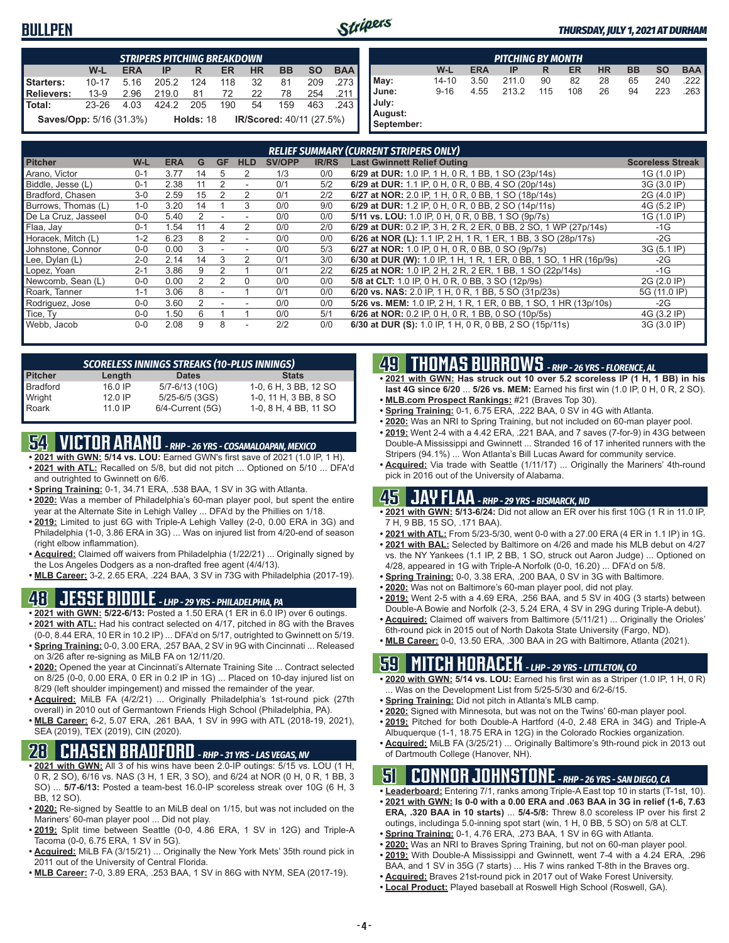## **BULLPEN**



| <b>STRIPERS PITCHING BREAKDOWN</b>       |       |            |           |  |             |            |                          |           |            |
|------------------------------------------|-------|------------|-----------|--|-------------|------------|--------------------------|-----------|------------|
|                                          | W-L   | <b>ERA</b> | $IP$ R    |  | <b>ER</b>   | <b>HR</b>  | <b>BB</b>                | <b>SO</b> | <b>BAA</b> |
| Starters:                                | 10-17 | 5.16       | 205.2 124 |  | 118 32      |            | 81                       | 209       | .273       |
| Relievers:                               | 13-9  | 2.96       | 219.0     |  | 81 72 22 78 |            |                          |           | 254 .211   |
| l Total:                                 | 23-26 | 4.03       | 424.2 205 |  |             | 190 54 159 |                          | 463       | ∎ 243.     |
| <b>Saves/Opp:</b> 5/16 (31.3%) Holds: 18 |       |            |           |  |             |            | IR/Scored: 40/11 (27.5%) |           |            |

| <b>PITCHING BY MONTH</b>                |           |            |       |     |     |           |           |           |            |  |  |
|-----------------------------------------|-----------|------------|-------|-----|-----|-----------|-----------|-----------|------------|--|--|
|                                         | W-L       | <b>ERA</b> | IP    | R   | ER  | <b>HR</b> | <b>BB</b> | <b>SO</b> | <b>BAA</b> |  |  |
| May:                                    | $14 - 10$ | 3.50       | 211.0 | 90  | 82  | 28        | 65        | 240       | 222        |  |  |
| June:<br>July:<br>August:<br>September: | $9 - 16$  | 4.55       | 213.2 | 115 | 108 | 26        | 94        | 223       | 263        |  |  |

|                     |         |            |    |             |                          |        | <b>RELIEF SUMMARY (CURRENT STRIPERS ONLY)</b> |                                                                    |                         |  |  |  |  |  |  |  |
|---------------------|---------|------------|----|-------------|--------------------------|--------|-----------------------------------------------|--------------------------------------------------------------------|-------------------------|--|--|--|--|--|--|--|
| <b>Pitcher</b>      | W-L     | <b>ERA</b> | G  | <b>GF</b>   | <b>HLD</b>               | SV/OPP | <b>IR/RS</b>                                  | <b>Last Gwinnett Relief Outing</b>                                 | <b>Scoreless Streak</b> |  |  |  |  |  |  |  |
| Arano. Victor       | $0 - 1$ | 3.77       | 14 | $\mathbf b$ | 2                        | 1/3    | 0/0                                           | 6/29 at DUR: 1.0 IP, 1 H, 0 R, 1 BB, 1 SO (23p/14s)                | 1G (1.0 IP)             |  |  |  |  |  |  |  |
| Biddle, Jesse (L)   | $0 - 1$ | 2.38       | 11 | 2           |                          | 0/1    | 5/2                                           | 6/29 at DUR: 1.1 IP, 0 H, 0 R, 0 BB, 4 SO (20p/14s)                | 3G (3.0 IP)             |  |  |  |  |  |  |  |
| Bradford, Chasen    | $3-0$   | 2.59       | 15 |             | 2                        | 0/1    | 2/2                                           | 6/27 at NOR: 2.0 IP, 1 H, 0 R, 0 BB, 1 SO (18p/14s)                | 2G (4.0 IP)             |  |  |  |  |  |  |  |
| Burrows, Thomas (L) | $1 - 0$ | 3.20       | 14 |             | 3                        | 0/0    | 9/0                                           | 6/29 at DUR: 1.2 IP, 0 H, 0 R, 0 BB, 2 SO (14p/11s)                | 4G (5.2 IP)             |  |  |  |  |  |  |  |
| De La Cruz. Jasseel | $0 - 0$ | 5.40       |    |             |                          | 0/0    | 0/0                                           | 5/11 vs. LOU: 1.0 IP, 0 H, 0 R, 0 BB, 1 SO (9p/7s)                 | 1G (1.0 IP)             |  |  |  |  |  |  |  |
| Flaa, Jay           | $0 - 1$ | 1.54       |    |             |                          | 0/0    | 2/0                                           | 6/29 at DUR: 0.2 IP, 3 H, 2 R, 2 ER, 0 BB, 2 SO, 1 WP (27p/14s)    | -1G                     |  |  |  |  |  |  |  |
| Horacek. Mitch (L)  | $1 - 2$ | 6.23       | 8  | 2           |                          | 0/0    | 0/0                                           | 6/26 at NOR (L): 1.1 IP, 2 H, 1 R, 1 ER, 1 BB, 3 SO (28p/17s)      | $-2G$                   |  |  |  |  |  |  |  |
| Johnstone, Connor   | $0 - 0$ | 0.00       | 3  |             |                          | 0/0    | 5/3                                           | 6/27 at NOR: 1.0 IP, 0 H, 0 R, 0 BB, 0 SO (9p/7s)                  | 3G (5.1 IP)             |  |  |  |  |  |  |  |
| Lee, Dylan (L)      | $2 - 0$ | 2.14       | 14 | 3           | 2                        | 0/1    | 3/0                                           | 6/30 at DUR (W): 1.0 IP, 1 H, 1 R, 1 ER, 0 BB, 1 SO, 1 HR (16p/9s) | $-2G$                   |  |  |  |  |  |  |  |
| Lopez, Yoan         | $2 - 1$ | 3.86       | 9  |             |                          | 0/1    | 2/2                                           | 6/25 at NOR: 1.0 IP, 2 H, 2 R, 2 ER, 1 BB, 1 SO (22p/14s)          | $-1G$                   |  |  |  |  |  |  |  |
| Newcomb, Sean (L)   | $0 - 0$ | 0.00       | 2  | 2           | $\Omega$                 | 0/0    | 0/0                                           | 5/8 at CLT: 1.0 IP, 0 H, 0 R, 0 BB, 3 SO (12p/9s)                  | 2G (2.0 IP)             |  |  |  |  |  |  |  |
| Roark, Tanner       | $1 - 1$ | 3.06       | 8  |             |                          | 0/1    | 0/0                                           | 6/20 vs. NAS: 2.0 IP, 1 H, 0 R, 1 BB, 5 SO (31p/23s)               | 5G (11.0 IP)            |  |  |  |  |  |  |  |
| Rodriguez, Jose     | $0 - 0$ | 3.60       | 2  |             |                          | 0/0    | 0/0                                           | 5/26 vs. MEM: 1.0 IP, 2 H, 1 R, 1 ER, 0 BB, 1 SO, 1 HR (13p/10s)   | $-2G$                   |  |  |  |  |  |  |  |
| Tice, Ty            | $0 - 0$ | 1.50       | 6  |             |                          | 0/0    | 5/1                                           | 6/26 at NOR: 0.2 IP, 0 H, 0 R, 1 BB, 0 SO (10p/5s)                 | 4G (3.2 IP)             |  |  |  |  |  |  |  |
| Webb, Jacob         | $0 - 0$ | 2.08       | 9  | 8           | $\overline{\phantom{a}}$ | 2/2    | 0/0                                           | 6/30 at DUR (S): 1.0 IP, 1 H, 0 R, 0 BB, 2 SO (15p/11s)            | 3G (3.0 IP)             |  |  |  |  |  |  |  |

| <b>SCORELESS INNINGS STREAKS (10-PLUS INNINGS)</b> |           |                  |                       |  |  |  |  |  |  |  |  |
|----------------------------------------------------|-----------|------------------|-----------------------|--|--|--|--|--|--|--|--|
| <b>Pitcher</b>                                     | Length    | <b>Dates</b>     | <b>Stats</b>          |  |  |  |  |  |  |  |  |
| <b>Bradford</b>                                    | $16.0$ IP | 5/7-6/13 (10G)   | 1-0, 6 H, 3 BB, 12 SO |  |  |  |  |  |  |  |  |
| Wright                                             | $12.0$ IP | 5/25-6/5 (3GS)   | 1-0, 11 H, 3 BB, 8 SO |  |  |  |  |  |  |  |  |
| Roark                                              | $11.0$ IP | 6/4-Current (5G) | 1-0, 8 H, 4 BB, 11 SO |  |  |  |  |  |  |  |  |

# **54 VICTOR ARANO** *- RHP - 26 YRS - COSAMALOAPAN, MEXICO*

- **• 2021 with GWN: 5/14 vs. LOU:** Earned GWN's first save of 2021 (1.0 IP, 1 H). **• 2021 with ATL:** Recalled on 5/8, but did not pitch ... Optioned on 5/10 ... DFA'd
- and outrighted to Gwinnett on 6/6. **• Spring Training:** 0-1, 34.71 ERA, .538 BAA, 1 SV in 3G with Atlanta.
- **• 2020:** Was a member of Philadelphia's 60-man player pool, but spent the entire year at the Alternate Site in Lehigh Valley ... DFA'd by the Phillies on 1/18.
- **• 2019:** Limited to just 6G with Triple-A Lehigh Valley (2-0, 0.00 ERA in 3G) and Philadelphia (1-0, 3.86 ERA in 3G) ... Was on injured list from 4/20-end of season (right elbow inflammation).
- **• Acquired:** Claimed off waivers from Philadelphia (1/22/21) ... Originally signed by the Los Angeles Dodgers as a non-drafted free agent (4/4/13).
- **• MLB Career:** 3-2, 2.65 ERA, .224 BAA, 3 SV in 73G with Philadelphia (2017-19).

# **48 JESSE BIDDLE** *- LHP - 29 YRS - PHILADELPHIA, PA*

- **• 2021 with GWN: 5/22-6/13:** Posted a 1.50 ERA (1 ER in 6.0 IP) over 6 outings.
- **• 2021 with ATL:** Had his contract selected on 4/17, pitched in 8G with the Braves (0-0, 8.44 ERA, 10 ER in 10.2 IP) ... DFA'd on 5/17, outrighted to Gwinnett on 5/19.
- **• Spring Training:** 0-0, 3.00 ERA, .257 BAA, 2 SV in 9G with Cincinnati ... Released on 3/26 after re-signing as MiLB FA on 12/11/20.
- **• 2020:** Opened the year at Cincinnati's Alternate Training Site ... Contract selected on 8/25 (0-0, 0.00 ERA, 0 ER in 0.2 IP in 1G) ... Placed on 10-day injured list on 8/29 (left shoulder impingement) and missed the remainder of the year.
- **• Acquired:** MiLB FA (4/2/21) ... Originally Philadelphia's 1st-round pick (27th overall) in 2010 out of Germantown Friends High School (Philadelphia, PA).
- **• MLB Career:** 6-2, 5.07 ERA, .261 BAA, 1 SV in 99G with ATL (2018-19, 2021), SEA (2019), TEX (2019), CIN (2020).

# **28 CHASEN BRADFORD** *- RHP - 31 YRS - LAS VEGAS, NV*

- **• 2021 with GWN:** All 3 of his wins have been 2.0-IP outings: 5/15 vs. LOU (1 H, 0 R, 2 SO), 6/16 vs. NAS (3 H, 1 ER, 3 SO), and 6/24 at NOR (0 H, 0 R, 1 BB, 3 SO) ... **5/7-6/13:** Posted a team-best 16.0-IP scoreless streak over 10G (6 H, 3 BB, 12 SO).
- **• 2020:** Re-signed by Seattle to an MiLB deal on 1/15, but was not included on the Mariners' 60-man player pool ... Did not play.
- **• 2019:** Split time between Seattle (0-0, 4.86 ERA, 1 SV in 12G) and Triple-A Tacoma (0-0, 6.75 ERA, 1 SV in 5G).
- **• Acquired:** MiLB FA (3/15/21) ... Originally the New York Mets' 35th round pick in 2011 out of the University of Central Florida.
- **• MLB Career:** 7-0, 3.89 ERA, .253 BAA, 1 SV in 86G with NYM, SEA (2017-19).

## **49 THOMAS BURROWS** *- RHP - 26 YRS - FLORENCE, AL*

- **• 2021 with GWN: Has struck out 10 over 5.2 scoreless IP (1 H, 1 BB) in his last 4G since 6/20** ... **5/26 vs. MEM:** Earned his first win (1.0 IP, 0 H, 0 R, 2 SO).
- **• MLB.com Prospect Rankings:** #21 (Braves Top 30).
- **• Spring Training:** 0-1, 6.75 ERA, .222 BAA, 0 SV in 4G with Atlanta.
- **• 2020:** Was an NRI to Spring Training, but not included on 60-man player pool.
- **• 2019:** Went 2-4 with a 4.42 ERA, .221 BAA, and 7 saves (7-for-9) in 43G between Double-A Mississippi and Gwinnett ... Stranded 16 of 17 inherited runners with the Stripers (94.1%) ... Won Atlanta's Bill Lucas Award for community service.
- **• Acquired:** Via trade with Seattle (1/11/17) ... Originally the Mariners' 4th-round pick in 2016 out of the University of Alabama.

# **45 JAY FLAA** *- RHP - 29 YRS - BISMARCK, ND*

- **• 2021 with GWN: 5/13-6/24:** Did not allow an ER over his first 10G (1 R in 11.0 IP, 7 H, 9 BB, 15 SO, .171 BAA).
- **• 2021 with ATL:** From 5/23-5/30, went 0-0 with a 27.00 ERA (4 ER in 1.1 IP) in 1G.
- **• 2021 with BAL:** Selected by Baltimore on 4/26 and made his MLB debut on 4/27 vs. the NY Yankees (1.1 IP, 2 BB, 1 SO, struck out Aaron Judge) ... Optioned on 4/28, appeared in 1G with Triple-A Norfolk (0-0, 16.20) ... DFA'd on 5/8.
- **• Spring Training:** 0-0, 3.38 ERA, .200 BAA, 0 SV in 3G with Baltimore.
- **• 2020:** Was not on Baltimore's 60-man player pool, did not play.
- **• 2019:** Went 2-5 with a 4.69 ERA, .256 BAA, and 5 SV in 40G (3 starts) between Double-A Bowie and Norfolk (2-3, 5.24 ERA, 4 SV in 29G during Triple-A debut).
- **• Acquired:** Claimed off waivers from Baltimore (5/11/21) ... Originally the Orioles' 6th-round pick in 2015 out of North Dakota State University (Fargo, ND).
- **• MLB Career:** 0-0, 13.50 ERA, .300 BAA in 2G with Baltimore, Atlanta (2021).

# **59 MITCH HORACEK** *- LHP - 29 YRS - LITTLETON, CO*

- **• 2020 with GWN: 5/14 vs. LOU:** Earned his first win as a Striper (1.0 IP, 1 H, 0 R) . Was on the Development List from 5/25-5/30 and 6/2-6/15.
- **• Spring Training:** Did not pitch in Atlanta's MLB camp.
- **• 2020:** Signed with Minnesota, but was not on the Twins' 60-man player pool.
- **• 2019:** Pitched for both Double-A Hartford (4-0, 2.48 ERA in 34G) and Triple-A Albuquerque (1-1, 18.75 ERA in 12G) in the Colorado Rockies organization.
- **• Acquired:** MiLB FA (3/25/21) ... Originally Baltimore's 9th-round pick in 2013 out of Dartmouth College (Hanover, NH).

## **51 CONNOR JOHNSTONE** *- RHP - 26 YRS - SAN DIEGO, CA*

- **• Leaderboard:** Entering 7/1, ranks among Triple-A East top 10 in starts (T-1st, 10).
- **• 2021 with GWN: Is 0-0 with a 0.00 ERA and .063 BAA in 3G in relief (1-6, 7.63 ERA, .320 BAA in 10 starts)** ... **5/4-5/8:** Threw 8.0 scoreless IP over his first 2 outings, includinga 5.0-inning spot start (win, 1 H, 0 BB, 5 SO) on 5/8 at CLT.
- **• Spring Training:** 0-1, 4.76 ERA, .273 BAA, 1 SV in 6G with Atlanta.
- **• 2020:** Was an NRI to Braves Spring Training, but not on 60-man player pool.
- **• 2019:** With Double-A Mississippi and Gwinnett, went 7-4 with a 4.24 ERA, .296
- BAA, and 1 SV in 35G (7 starts) ... His 7 wins ranked T-8th in the Braves org.
- **• Acquired:** Braves 21st-round pick in 2017 out of Wake Forest University.
- **• Local Product:** Played baseball at Roswell High School (Roswell, GA).
	-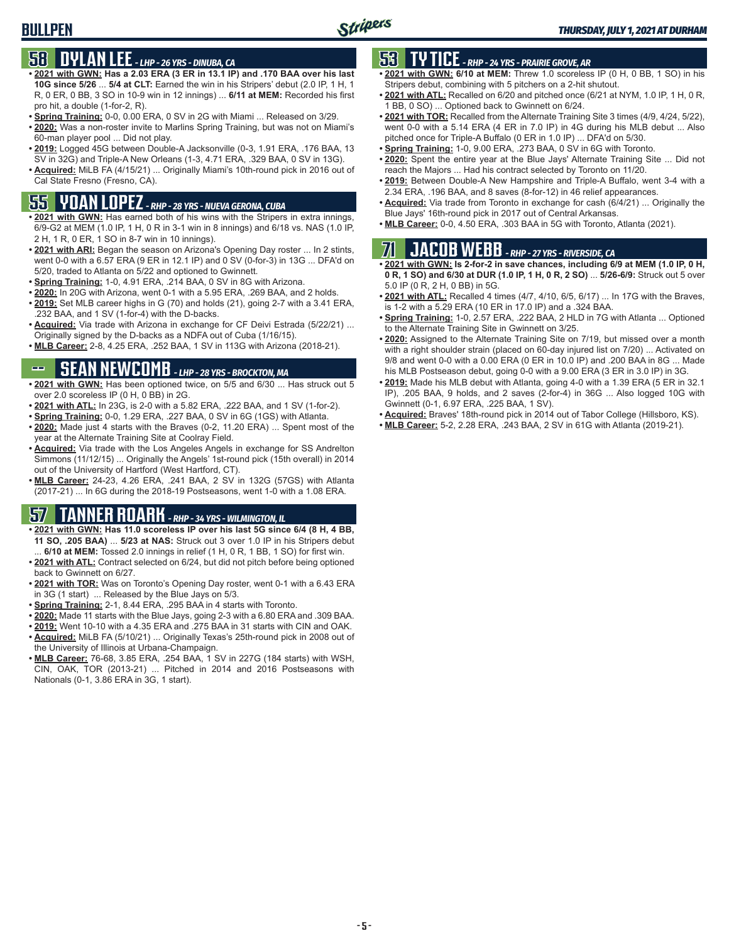# **58 DYLAN LEE** *- LHP - 26 YRS - DINUBA, CA*

- **• 2021 with GWN: Has a 2.03 ERA (3 ER in 13.1 IP) and .170 BAA over his last 10G since 5/26** ... **5/4 at CLT:** Earned the win in his Stripers' debut (2.0 IP, 1 H, 1 R, 0 ER, 0 BB, 3 SO in 10-9 win in 12 innings) ... **6/11 at MEM:** Recorded his first pro hit, a double (1-for-2, R).
- **• Spring Training:** 0-0, 0.00 ERA, 0 SV in 2G with Miami ... Released on 3/29.
- **• 2020:** Was a non-roster invite to Marlins Spring Training, but was not on Miami's 60-man player pool ... Did not play.
- **• 2019:** Logged 45G between Double-A Jacksonville (0-3, 1.91 ERA, .176 BAA, 13 SV in 32G) and Triple-A New Orleans (1-3, 4.71 ERA, .329 BAA, 0 SV in 13G).
- **• Acquired:** MiLB FA (4/15/21) ... Originally Miami's 10th-round pick in 2016 out of Cal State Fresno (Fresno, CA).

# **55 YOAN LOPEZ** *- RHP - 28 YRS - NUEVA GERONA, CUBA*

- **• 2021 with GWN:** Has earned both of his wins with the Stripers in extra innings, 6/9-G2 at MEM (1.0 IP, 1 H, 0 R in 3-1 win in 8 innings) and 6/18 vs. NAS (1.0 IP, 2 H, 1 R, 0 ER, 1 SO in 8-7 win in 10 innings).
- **• 2021 with ARI:** Began the season on Arizona's Opening Day roster ... In 2 stints, went 0-0 with a 6.57 ERA (9 ER in 12.1 IP) and 0 SV (0-for-3) in 13G ... DFA'd on 5/20, traded to Atlanta on 5/22 and optioned to Gwinnett.
- **• Spring Training:** 1-0, 4.91 ERA, .214 BAA, 0 SV in 8G with Arizona.
- **• 2020:** In 20G with Arizona, went 0-1 with a 5.95 ERA, .269 BAA, and 2 holds.
- **• 2019:** Set MLB career highs in G (70) and holds (21), going 2-7 with a 3.41 ERA, .232 BAA, and 1 SV (1-for-4) with the D-backs.
- **• Acquired:** Via trade with Arizona in exchange for CF Deivi Estrada (5/22/21) ... Originally signed by the D-backs as a NDFA out of Cuba (1/16/15).
- **• MLB Career:** 2-8, 4.25 ERA, .252 BAA, 1 SV in 113G with Arizona (2018-21).

# **SEAN NEWCOMB** - LHP - 28 YRS - BROCKTON, MA

- **• 2021 with GWN:** Has been optioned twice, on 5/5 and 6/30 ... Has struck out 5 over 2.0 scoreless IP (0 H, 0 BB) in 2G.
- **• 2021 with ATL:** In 23G, is 2-0 with a 5.82 ERA, .222 BAA, and 1 SV (1-for-2).
- **• Spring Training:** 0-0, 1.29 ERA, .227 BAA, 0 SV in 6G (1GS) with Atlanta.
- **• 2020:** Made just 4 starts with the Braves (0-2, 11.20 ERA) ... Spent most of the year at the Alternate Training Site at Coolray Field.
- **• Acquired:** Via trade with the Los Angeles Angels in exchange for SS Andrelton Simmons (11/12/15) ... Originally the Angels' 1st-round pick (15th overall) in 2014 out of the University of Hartford (West Hartford, CT).
- **• MLB Career:** 24-23, 4.26 ERA, .241 BAA, 2 SV in 132G (57GS) with Atlanta (2017-21) ... In 6G during the 2018-19 Postseasons, went 1-0 with a 1.08 ERA.

# **57 TANNER ROARK** *- RHP - 34 YRS - WILMINGTON, IL*

- **• 2021 with GWN: Has 11.0 scoreless IP over his last 5G since 6/4 (8 H, 4 BB, 11 SO, .205 BAA)** ... **5/23 at NAS:** Struck out 3 over 1.0 IP in his Stripers debut 6/10 at MEM: Tossed 2.0 innings in relief (1 H, 0 R, 1 BB, 1 SO) for first win.
- **• 2021 with ATL:** Contract selected on 6/24, but did not pitch before being optioned back to Gwinnett on 6/27.
- **• 2021 with TOR:** Was on Toronto's Opening Day roster, went 0-1 with a 6.43 ERA in 3G (1 start) ... Released by the Blue Jays on 5/3.
- **• Spring Training:** 2-1, 8.44 ERA, .295 BAA in 4 starts with Toronto.
- **• 2020:** Made 11 starts with the Blue Jays, going 2-3 with a 6.80 ERA and .309 BAA.
- **• 2019:** Went 10-10 with a 4.35 ERA and .275 BAA in 31 starts with CIN and OAK.
- **• Acquired:** MiLB FA (5/10/21) ... Originally Texas's 25th-round pick in 2008 out of the University of Illinois at Urbana-Champaign.
- **• MLB Career:** 76-68, 3.85 ERA, .254 BAA, 1 SV in 227G (184 starts) with WSH, CIN, OAK, TOR (2013-21) ... Pitched in 2014 and 2016 Postseasons with Nationals (0-1, 3.86 ERA in 3G, 1 start).

# **53 TY TICE** *- RHP - 24 YRS - PRAIRIE GROVE, AR*

- **• 2021 with GWN: 6/10 at MEM:** Threw 1.0 scoreless IP (0 H, 0 BB, 1 SO) in his Stripers debut, combining with 5 pitchers on a 2-hit shutout.
- **• 2021 with ATL:** Recalled on 6/20 and pitched once (6/21 at NYM, 1.0 IP, 1 H, 0 R, 1 BB, 0 SO) ... Optioned back to Gwinnett on 6/24.
- **• 2021 with TOR:** Recalled from the Alternate Training Site 3 times (4/9, 4/24, 5/22), went 0-0 with a 5.14 ERA (4 ER in 7.0 IP) in 4G during his MLB debut ... Also pitched once for Triple-A Buffalo (0 ER in 1.0 IP) ... DFA'd on 5/30.
- **• Spring Training:** 1-0, 9.00 ERA, .273 BAA, 0 SV in 6G with Toronto.
- **• 2020:** Spent the entire year at the Blue Jays' Alternate Training Site ... Did not reach the Majors ... Had his contract selected by Toronto on 11/20.
- **• 2019:** Between Double-A New Hampshire and Triple-A Buffalo, went 3-4 with a 2.34 ERA, .196 BAA, and 8 saves (8-for-12) in 46 relief appearances.
- **• Acquired:** Via trade from Toronto in exchange for cash (6/4/21) ... Originally the Blue Jays' 16th-round pick in 2017 out of Central Arkansas.
- **• MLB Career:** 0-0, 4.50 ERA, .303 BAA in 5G with Toronto, Atlanta (2021).

# **71 JACOB WEBB** *- RHP - 27 YRS - RIVERSIDE, CA*

- **• 2021 with GWN: Is 2-for-2 in save chances, including 6/9 at MEM (1.0 IP, 0 H, 0 R, 1 SO) and 6/30 at DUR (1.0 IP, 1 H, 0 R, 2 SO)** ... **5/26-6/9:** Struck out 5 over 5.0 IP (0 R, 2 H, 0 BB) in 5G.
- **• 2021 with ATL:** Recalled 4 times (4/7, 4/10, 6/5, 6/17) ... In 17G with the Braves, is 1-2 with a 5.29 ERA (10 ER in 17.0 IP) and a .324 BAA.
- **• Spring Training:** 1-0, 2.57 ERA, .222 BAA, 2 HLD in 7G with Atlanta ... Optioned to the Alternate Training Site in Gwinnett on 3/25.
- **• 2020:** Assigned to the Alternate Training Site on 7/19, but missed over a month with a right shoulder strain (placed on 60-day injured list on 7/20) ... Activated on 9/8 and went 0-0 with a 0.00 ERA (0 ER in 10.0 IP) and .200 BAA in 8G ... Made his MLB Postseason debut, going 0-0 with a 9.00 ERA (3 ER in 3.0 IP) in 3G.
- **• 2019:** Made his MLB debut with Atlanta, going 4-0 with a 1.39 ERA (5 ER in 32.1 IP), .205 BAA, 9 holds, and 2 saves (2-for-4) in 36G ... Also logged 10G with Gwinnett (0-1, 6.97 ERA, .225 BAA, 1 SV).
- **• Acquired:** Braves' 18th-round pick in 2014 out of Tabor College (Hillsboro, KS).
- **• MLB Career:** 5-2, 2.28 ERA, .243 BAA, 2 SV in 61G with Atlanta (2019-21).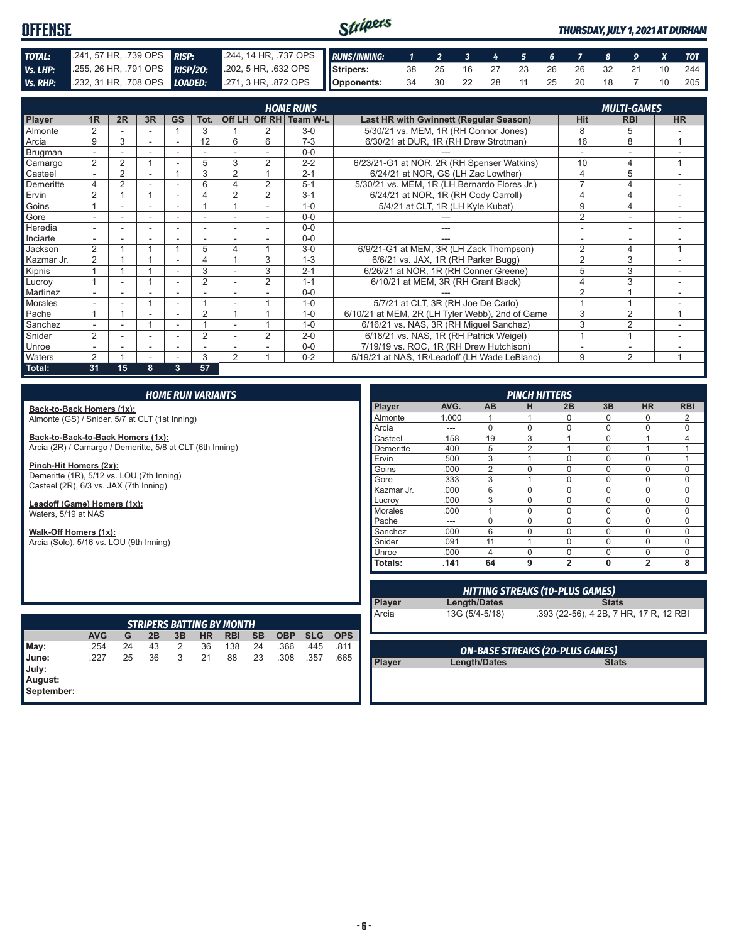#### Stripers **OFFENSE** *THURSDAY, JULY 1, 2021 AT DURHAM TOTAL:* .241, 57 HR, .739 OPS *RISP:* .244, 14 HR, .737 OPS *RUNS/INNING: 1 2 3 4 5 6 7 8 9 X TOT Vs. LHP:* .255, 26 HR, .791 OPS *RISP/2O:* .202, 5 HR, .632 OPS **Stripers:** 38 25 16 27 23 26 26 32 21 10 244 *Vs. RHP:* .232, 31 HR, .708 OPS *LOADED:* .271, 3 HR, .872 OPS **Opponents:** 34 30 22 28 11 25 20 18 7 10 205

|                | <b>HOME RUNS</b><br><b>MULTI-GAMES</b> |                |        |                          |                          |                          |                |                        |                                                 |                |                |                          |
|----------------|----------------------------------------|----------------|--------|--------------------------|--------------------------|--------------------------|----------------|------------------------|-------------------------------------------------|----------------|----------------|--------------------------|
|                |                                        |                |        |                          |                          |                          |                |                        |                                                 |                |                |                          |
| Player         | 1R                                     | 2R             | 3R     | <b>GS</b>                | Tot.                     |                          |                | Off LH Off RH Team W-L | Last HR with Gwinnett (Regular Season)          | <b>Hit</b>     | <b>RBI</b>     | <b>HR</b>                |
| Almonte        | $\overline{2}$                         |                |        |                          | 3                        |                          |                | $3-0$                  | 5/30/21 vs. MEM, 1R (RH Connor Jones)           | 8              | 5              |                          |
| Arcia          | 9                                      | 3              | $\sim$ |                          | 12                       | 6                        | 6              | $7 - 3$                | 6/30/21 at DUR, 1R (RH Drew Strotman)           | 16             | 8              | 4                        |
| Brugman        | $\overline{\phantom{0}}$               |                |        |                          |                          |                          |                | $0 - 0$                |                                                 |                |                |                          |
| Camargo        | $\overline{2}$                         | 2              |        |                          | 5                        | 3                        | $\overline{2}$ | $2 - 2$                | 6/23/21-G1 at NOR, 2R (RH Spenser Watkins)      | 10             | 4              | 1                        |
| Casteel        | $\overline{\phantom{0}}$               | $\overline{2}$ |        |                          | 3                        | $\overline{2}$           |                | $2 - 1$                | 6/24/21 at NOR, GS (LH Zac Lowther)             | 4              | 5              |                          |
| Demeritte      | 4                                      | 2              |        |                          | 6                        | 4                        | 2              | $5-1$                  | 5/30/21 vs. MEM, 1R (LH Bernardo Flores Jr.)    | ⇁              | 4              | $\overline{\phantom{a}}$ |
| Ervin          | $\overline{2}$                         |                |        |                          |                          | $\overline{2}$           | $\overline{2}$ | $3 - 1$                | 6/24/21 at NOR, 1R (RH Cody Carroll)            |                | 4              |                          |
| Goins          |                                        |                |        |                          |                          |                          |                | $1 - 0$                | 5/4/21 at CLT, 1R (LH Kyle Kubat)               | 9              | 4              |                          |
| Gore           |                                        |                |        |                          |                          |                          |                | $0 - 0$                |                                                 | $\overline{2}$ |                |                          |
| Heredia        | $\overline{\phantom{0}}$               |                |        |                          | ٠                        |                          |                | $0 - 0$                | ---                                             |                | ۰              | $\overline{\phantom{a}}$ |
| Inciarte       |                                        |                |        |                          |                          |                          |                | $0 - 0$                |                                                 |                |                |                          |
| Jackson        | $\overline{2}$                         |                |        |                          | 5                        | 4                        |                | $3-0$                  | 6/9/21-G1 at MEM, 3R (LH Zack Thompson)         | 2              | 4              | 1                        |
| Kazmar Jr.     | 2                                      |                |        |                          | 4                        |                          | 3              | $1 - 3$                | 6/6/21 vs. JAX, 1R (RH Parker Bugg)             | $\overline{2}$ | 3              |                          |
| Kipnis         |                                        |                |        |                          | 3                        |                          | 3              | $2 - 1$                | 6/26/21 at NOR, 1R (RH Conner Greene)           | 5              | 3              | $\sim$                   |
| Lucrov         |                                        | ۰.             |        | $\overline{\phantom{a}}$ | $\overline{2}$           | $\overline{\phantom{a}}$ | $\overline{2}$ | $1 - 1$                | 6/10/21 at MEM, 3R (RH Grant Black)             | 4              | 3              | ۰                        |
| Martinez       | $\overline{\phantom{0}}$               | ۰.             |        | $\overline{\phantom{a}}$ | $\overline{\phantom{a}}$ |                          |                | $0 - 0$                |                                                 | $\overline{2}$ |                |                          |
| <b>Morales</b> |                                        |                |        |                          |                          |                          |                | $1 - 0$                | 5/7/21 at CLT, 3R (RH Joe De Carlo)             |                |                |                          |
| Pache          |                                        |                |        |                          | $\overline{2}$           |                          |                | $1 - 0$                | 6/10/21 at MEM, 2R (LH Tyler Webb), 2nd of Game | 3              | $\overline{2}$ |                          |
| Sanchez        |                                        |                |        |                          |                          |                          |                | $1 - 0$                | 6/16/21 vs. NAS, 3R (RH Miguel Sanchez)         | 3              | $\overline{2}$ |                          |
| Snider         | 2                                      |                |        |                          | $\overline{2}$           |                          | $\overline{2}$ | $2 - 0$                | 6/18/21 vs. NAS, 1R (RH Patrick Weigel)         |                | $\overline{A}$ |                          |
| Unroe          |                                        |                | ٠      | ۰                        | ۰                        |                          |                | $0 - 0$                | 7/19/19 vs. ROC, 1R (RH Drew Hutchison)         |                | ٠              |                          |
| Waters         | $\overline{2}$                         |                |        |                          | 3                        | $\overline{2}$           |                | $0 - 2$                | 5/19/21 at NAS, 1R/Leadoff (LH Wade LeBlanc)    | 9              | 2              | 1                        |
| Total:         | 31                                     | 15             | 8      | 3                        | 57                       |                          |                |                        |                                                 |                |                |                          |

#### *HOME RUN VARIANTS*

**Back-to-Back Homers (1x):** Almonte (GS) / Snider, 5/7 at CLT (1st Inning)

**Back-to-Back-to-Back Homers (1x):** Arcia (2R) / Camargo / Demeritte, 5/8 at CLT (6th Inning)

**Pinch-Hit Homers (2x):** Demeritte (1R), 5/12 vs. LOU (7th Inning) Casteel (2R), 6/3 vs. JAX (7th Inning)

**Leadoff (Game) Homers (1x):** Waters, 5/19 at NAS

**Walk-Off Homers (1x):**

Arcia (Solo), 5/16 vs. LOU (9th Inning)

| <b>PINCH HITTERS</b> |       |                |                |                |          |                |            |
|----------------------|-------|----------------|----------------|----------------|----------|----------------|------------|
| <b>Player</b>        | AVG.  | AB             | н              | 2B             | 3B       | <b>HR</b>      | <b>RBI</b> |
| Almonte              | 1.000 |                |                | 0              | 0        | 0              | 2          |
| Arcia                | ---   | $\Omega$       | $\Omega$       | $\Omega$       | $\Omega$ | $\Omega$       | $\Omega$   |
| Casteel              | .158  | 19             | 3              | 1              | $\Omega$ | 1              | 4          |
| Demeritte            | .400  | 5              | $\overline{2}$ | 1              | $\Omega$ | 1              | 1          |
| Ervin                | .500  | 3              |                | $\mathbf 0$    | $\Omega$ | $\mathbf 0$    |            |
| Goins                | .000  | $\overline{2}$ | $\Omega$       | $\Omega$       | $\Omega$ | $\Omega$       | $\Omega$   |
| Gore                 | .333  | 3              | 1              | $\Omega$       | $\Omega$ | $\Omega$       | $\Omega$   |
| Kazmar Jr.           | .000  | 6              | $\Omega$       | $\Omega$       | $\Omega$ | $\Omega$       | $\Omega$   |
| Lucrov               | .000  | 3              | $\Omega$       | $\Omega$       | $\Omega$ | $\Omega$       | $\Omega$   |
| <b>Morales</b>       | .000  |                | $\Omega$       | $\Omega$       | ი        | $\Omega$       | $\Omega$   |
| Pache                | ---   | $\Omega$       | 0              | $\Omega$       | 0        | 0              | 0          |
| Sanchez              | .000  | 6              | $\Omega$       | $\Omega$       | $\Omega$ | 0              | 0          |
| Snider               | .091  | 11             |                | 0              | $\Omega$ | $\mathbf 0$    | $\Omega$   |
| Unroe                | .000  | 4              | $\Omega$       | $\Omega$       | $\Omega$ | $\Omega$       | $\Omega$   |
| Totals:              | .141  | 64             | 9              | $\overline{2}$ | 0        | $\overline{2}$ | 8          |

| <b>STRIPERS BATTING BY MONTH</b>               |            |    |    |    |           |            |           |            |            |            |
|------------------------------------------------|------------|----|----|----|-----------|------------|-----------|------------|------------|------------|
|                                                | <b>AVG</b> | G  | 2B | 3B | <b>HR</b> | <b>RBI</b> | <b>SB</b> | <b>OBP</b> | <b>SLG</b> | <b>OPS</b> |
| May:                                           | .254       | 24 | 43 | 2  | 36        | 138        | 24        | .366       | .445       | .811       |
| <b>June:</b><br>July:<br>August:<br>September: | .227       | 25 | 36 | 3  | 21        | 88         | 23        | .308       | .357       | .665       |

| <b>HITTING STREAKS (10-PLUS GAMES)</b> |                     |                                        |  |  |  |  |  |
|----------------------------------------|---------------------|----------------------------------------|--|--|--|--|--|
| <b>Player</b>                          | Length/Dates        | <b>Stats</b>                           |  |  |  |  |  |
| Arcia                                  | 13G (5/4-5/18)      | .393 (22-56), 4 2B, 7 HR, 17 R, 12 RBI |  |  |  |  |  |
|                                        |                     | <b>ON-BASE STREAKS (20-PLUS GAMES)</b> |  |  |  |  |  |
| <b>Player</b>                          | <b>Length/Dates</b> | <b>Stats</b>                           |  |  |  |  |  |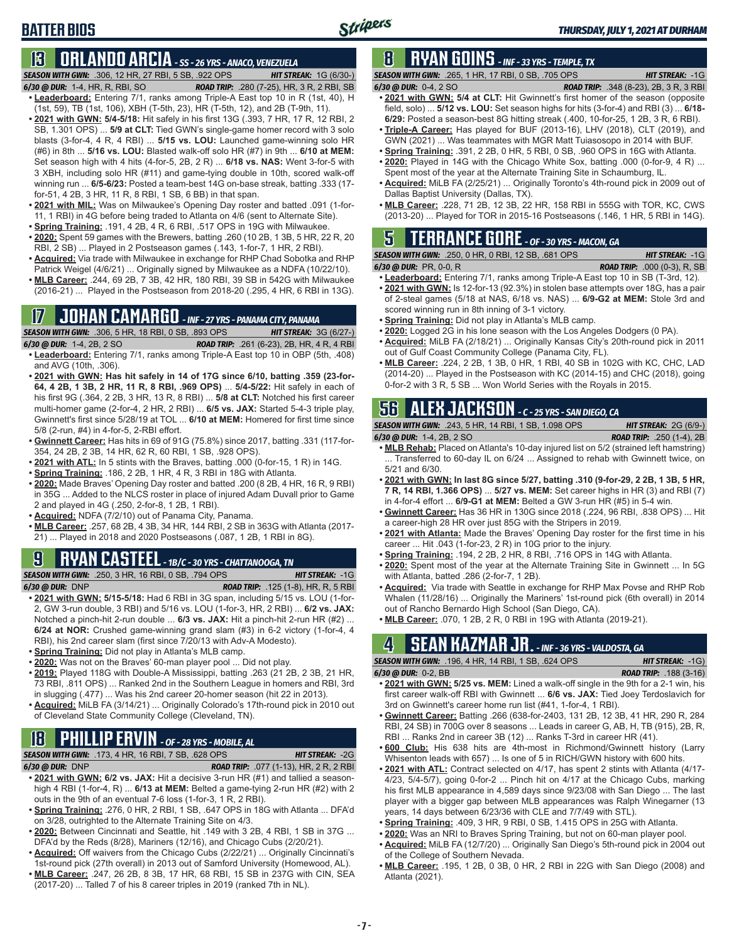## **BATTER BIOS**

# **13 ORLANDO ARCIA** *- SS - 26 YRS - ANACO, VENEZUELA*

*SEASON WITH GWN:*.306, 12 HR, 27 RBI, 5 SB, .922 OPS *HIT STREAK:* 1G (6/30-)

- *6/30 @ DUR:*1-4, HR, R, RBI, SO *ROAD TRIP:* .280 (7-25), HR, 3 R, 2 RBI, SB **• Leaderboard:** Entering 7/1, ranks among Triple-A East top 10 in R (1st, 40), H (1st, 59), TB (1st, 106), XBH (T-5th, 23), HR (T-5th, 12), and 2B (T-9th, 11).
- **• 2021 with GWN: 5/4-5/18:** Hit safely in his first 13G (.393, 7 HR, 17 R, 12 RBI, 2 SB, 1.301 OPS) ... **5/9 at CLT:** Tied GWN's single-game homer record with 3 solo blasts (3-for-4, 4 R, 4 RBI) ... **5/15 vs. LOU:** Launched game-winning solo HR (#6) in 8th ... **5/16 vs. LOU:** Blasted walk-off solo HR (#7) in 9th ... **6/10 at MEM:**  Set season high with 4 hits (4-for-5, 2B, 2 R) ... **6/18 vs. NAS:** Went 3-for-5 with 3 XBH, including solo HR (#11) and game-tying double in 10th, scored walk-off winning run ... **6/5-6/23:** Posted a team-best 14G on-base streak, batting .333 (17 for-51, 4 2B, 3 HR, 11 R, 8 RBI, 1 SB, 6 BB) in that span.
- **• 2021 with MIL:** Was on Milwaukee's Opening Day roster and batted .091 (1-for-11, 1 RBI) in 4G before being traded to Atlanta on 4/6 (sent to Alternate Site).
- **• Spring Training:** .191, 4 2B, 4 R, 6 RBI, .517 OPS in 19G with Milwaukee. **• 2020:** Spent 59 games with the Brewers, batting .260 (10 2B, 1 3B, 5 HR, 22 R, 20 RBI, 2 SB) ... Played in 2 Postseason games (.143, 1-for-7, 1 HR, 2 RBI).
- **• Acquired:** Via trade with Milwaukee in exchange for RHP Chad Sobotka and RHP Patrick Weigel (4/6/21) ... Originally signed by Milwaukee as a NDFA (10/22/10).
- **• MLB Career:** .244, 69 2B, 7 3B, 42 HR, 180 RBI, 39 SB in 542G with Milwaukee (2016-21) ... Played in the Postseason from 2018-20 (.295, 4 HR, 6 RBI in 13G).

# **17 JOHAN CAMARGO** *- INF - 27 YRS - PANAMA CITY, PANAMA*

*SEASON WITH GWN:*.306, 5 HR, 18 RBI, 0 SB, .893 OPS *HIT STREAK:* 3G (6/27-) *6/30 @ DUR:* 1-4, 2B, 2 SO *ROAD TRIP:* .261 (6-23), 2B, HR, 4 R, 4 RBI

- **• Leaderboard:** Entering 7/1, ranks among Triple-A East top 10 in OBP (5th, .408) and AVG (10th, .306). **• 2021 with GWN: Has hit safely in 14 of 17G since 6/10, batting .359 (23-for-**
- **64, 4 2B, 1 3B, 2 HR, 11 R, 8 RBI, .969 OPS)** ... **5/4-5/22:** Hit safely in each of his first 9G (.364, 2 2B, 3 HR, 13 R, 8 RBI) ... **5/8 at CLT:** Notched his first career multi-homer game (2-for-4, 2 HR, 2 RBI) ... **6/5 vs. JAX:** Started 5-4-3 triple play, Gwinnett's first since 5/28/19 at TOL ... **6/10 at MEM:** Homered for first time since 5/8 (2-run, #4) in 4-for-5, 2-RBI effort.
- **• Gwinnett Career:** Has hits in 69 of 91G (75.8%) since 2017, batting .331 (117-for-354, 24 2B, 2 3B, 14 HR, 62 R, 60 RBI, 1 SB, .928 OPS).
- **• 2021 with ATL:** In 5 stints with the Braves, batting .000 (0-for-15, 1 R) in 14G.
- **• Spring Training:** .186, 2 2B, 1 HR, 4 R, 3 RBI in 18G with Atlanta.
- **• 2020:** Made Braves' Opening Day roster and batted .200 (8 2B, 4 HR, 16 R, 9 RBI) in 35G ... Added to the NLCS roster in place of injured Adam Duvall prior to Game 2 and played in 4G (.250, 2-for-8, 1 2B, 1 RBI).
- **• Acquired:** NDFA (7/2/10) out of Panama City, Panama.
- **• MLB Career:** .257, 68 2B, 4 3B, 34 HR, 144 RBI, 2 SB in 363G with Atlanta (2017- 21) ... Played in 2018 and 2020 Postseasons (.087, 1 2B, 1 RBI in 8G).

# **9 RYAN CASTEEL** *- 1B/C - 30 YRS - CHATTANOOGA, TN*

*SEASON WITH GWN:*.250, 3 HR, 16 RBI, 0 SB, .794 OPS *HIT STREAK:* -1G

- *6/30 @ DUR:*DNP *ROAD TRIP:* .125 (1-8), HR, R, 5 RBI **• 2021 with GWN: 5/15-5/18:** Had 6 RBI in 3G span, including 5/15 vs. LOU (1-for-2, GW 3-run double, 3 RBI) and 5/16 vs. LOU (1-for-3, HR, 2 RBI) ... **6/2 vs. JAX:** Notched a pinch-hit 2-run double ... **6/3 vs. JAX:** Hit a pinch-hit 2-run HR (#2) ... **6/24 at NOR:** Crushed game-winning grand slam (#3) in 6-2 victory (1-for-4, 4 RBI), his 2nd career slam (first since 7/20/13 with Adv-A Modesto).
- **• Spring Training:** Did not play in Atlanta's MLB camp.
- **• 2020:** Was not on the Braves' 60-man player pool ... Did not play.
- **• 2019:** Played 118G with Double-A Mississippi, batting .263 (21 2B, 2 3B, 21 HR, 73 RBI, .811 OPS) ... Ranked 2nd in the Southern League in homers and RBI, 3rd in slugging (.477) ... Was his 2nd career 20-homer season (hit 22 in 2013).
- **• Acquired:** MiLB FA (3/14/21) ... Originally Colorado's 17th-round pick in 2010 out of Cleveland State Community College (Cleveland, TN).

# **18 PHILLIP ERVIN** *- OF - 28 YRS - MOBILE, AL*

|                 | <b>SEASON WITH GWN:</b> .173. 4 HR. 16 RBI. 7 SB. .628 OPS | <b>HIT STREAK: -2G</b>                        |
|-----------------|------------------------------------------------------------|-----------------------------------------------|
| 6/30 @ DUR: DNP |                                                            | <b>ROAD TRIP:</b> .077 (1-13), HR, 2 R, 2 RBI |

- **• 2021 with GWN: 6/2 vs. JAX:** Hit a decisive 3-run HR (#1) and tallied a seasonhigh 4 RBI (1-for-4, R) ... **6/13 at MEM:** Belted a game-tying 2-run HR (#2) with 2 outs in the 9th of an eventual 7-6 loss (1-for-3, 1 R, 2 RBI).
- **• Spring Training:** .276, 0 HR, 2 RBI, 1 SB, .647 OPS in 18G with Atlanta ... DFA'd on 3/28, outrighted to the Alternate Training Site on 4/3.
- **• 2020:** Between Cincinnati and Seattle, hit .149 with 3 2B, 4 RBI, 1 SB in 37G ... DFA'd by the Reds (8/28), Mariners (12/16), and Chicago Cubs (2/20/21).
- **• Acquired:** Off waivers from the Chicago Cubs (2/22/21) ... Originally Cincinnati's 1st-round pick (27th overall) in 2013 out of Samford University (Homewood, AL).
- **• MLB Career:** .247, 26 2B, 8 3B, 17 HR, 68 RBI, 15 SB in 237G with CIN, SEA (2017-20) ... Talled 7 of his 8 career triples in 2019 (ranked 7th in NL).

# **8 RYAN GOINS** *- INF - 33 YRS - TEMPLE, TX*

*SEASON WITH GWN:*.265, 1 HR, 17 RBI, 0 SB, .705 OPS *HIT STREAK:* -1G

- *6/30 @ DUR:*0-4, 2 SO *ROAD TRIP:* .348 (8-23), 2B, 3 R, 3 RBI **• 2021 with GWN: 5/4 at CLT:** Hit Gwinnett's first homer of the season (opposite field, solo) ... **5/12 vs. LOU:** Set season highs for hits (3-for-4) and RBI (3) ... **6/18-**
- **6/29:** Posted a season-best 8G hitting streak (.400, 10-for-25, 1 2B, 3 R, 6 RBI). **• Triple-A Career:** Has played for BUF (2013-16), LHV (2018), CLT (2019), and
- GWN (2021) ... Was teammates with MGR Matt Tuiasosopo in 2014 with BUF.
- **• Spring Training:** .391, 2 2B, 0 HR, 5 RBI, 0 SB, .960 OPS in 16G with Atlanta. **• 2020:** Played in 14G with the Chicago White Sox, batting .000 (0-for-9, 4 R) ...
- Spent most of the year at the Alternate Training Site in Schaumburg, IL.
- **• Acquired:** MiLB FA (2/25/21) ... Originally Toronto's 4th-round pick in 2009 out of Dallas Baptist University (Dallas, TX).
- **• MLB Career:** .228, 71 2B, 12 3B, 22 HR, 158 RBI in 555G with TOR, KC, CWS (2013-20) ... Played for TOR in 2015-16 Postseasons (.146, 1 HR, 5 RBI in 14G).

# **5 TERRANCE GORE** *- OF - 30 YRS - MACON, GA*

*SEASON WITH GWN:*.250, 0 HR, 0 RBI, 12 SB, .681 OPS *HIT STREAK:* -1G *6/30 @ DUR:*PR, 0-0, R *ROAD TRIP:* .000 (0-3), R, SB

- **• Leaderboard:** Entering 7/1, ranks among Triple-A East top 10 in SB (T-3rd, 12).
- **• 2021 with GWN:** Is 12-for-13 (92.3%) in stolen base attempts over 18G, has a pair of 2-steal games (5/18 at NAS, 6/18 vs. NAS) ... **6/9-G2 at MEM:** Stole 3rd and scored winning run in 8th inning of 3-1 victory.
- **• Spring Training:** Did not play in Atlanta's MLB camp.
- **• 2020:** Logged 2G in his lone season with the Los Angeles Dodgers (0 PA).
- **• Acquired:** MiLB FA (2/18/21) ... Originally Kansas City's 20th-round pick in 2011 out of Gulf Coast Community College (Panama City, FL).
- **• MLB Career:** .224, 2 2B, 1 3B, 0 HR, 1 RBI, 40 SB in 102G with KC, CHC, LAD (2014-20) ... Played in the Postseason with KC (2014-15) and CHC (2018), going 0-for-2 with 3 R, 5 SB ... Won World Series with the Royals in 2015.

# **56 ALEX JACKSON** *- C - 25 YRS - SAN DIEGO, CA*

*SEASON WITH GWN:*.243, 5 HR, 14 RBI, 1 SB, 1.098 OPS *HIT STREAK:* 2G (6/9-)

- *6/30 @ DUR:*1-4, 2B, 2 SO *ROAD TRIP:* .250 (1-4), 2B **• MLB Rehab:** Placed on Atlanta's 10-day injured list on 5/2 (strained left hamstring) ... Transferred to 60-day IL on 6/24 ... Assigned to rehab with Gwinnett twice, on 5/21 and 6/30.
- **• 2021 with GWN: In last 8G since 5/27, batting .310 (9-for-29, 2 2B, 1 3B, 5 HR, 7 R, 14 RBI, 1.366 OPS)** ... **5/27 vs. MEM:** Set career highs in HR (3) and RBI (7) in 4-for-4 effort ... **6/9-G1 at MEM:** Belted a GW 3-run HR (#5) in 5-4 win.
- **• Gwinnett Career:** Has 36 HR in 130G since 2018 (.224, 96 RBI, .838 OPS) ... Hit a career-high 28 HR over just 85G with the Stripers in 2019.
- **• 2021 with Atlanta:** Made the Braves' Opening Day roster for the first time in his career ... Hit .043 (1-for-23, 2 R) in 10G prior to the injury.
- **• Spring Training:** .194, 2 2B, 2 HR, 8 RBI, .716 OPS in 14G with Atlanta.
- **• 2020:** Spent most of the year at the Alternate Training Site in Gwinnett ... In 5G with Atlanta, batted .286 (2-for-7, 1 2B).
- **• Acquired:** Via trade with Seattle in exchange for RHP Max Povse and RHP Rob Whalen (11/28/16) ... Originally the Mariners' 1st-round pick (6th overall) in 2014 out of Rancho Bernardo High School (San Diego, CA).
- **• MLB Career:** .070, 1 2B, 2 R, 0 RBI in 19G with Atlanta (2019-21).

# **4 SEAN KAZMAR JR.** *- INF - 36 YRS - VALDOSTA, GA*

*SEASON WITH GWN:*.196, 4 HR, 14 RBI, 1 SB, .624 OPS *HIT STREAK:* -1G)

- *6/30 @ DUR:*0-2, BB *ROAD TRIP:* .188 (3-16) **• 2021 with GWN: 5/25 vs. MEM:** Lined a walk-off single in the 9th for a 2-1 win, his first career walk-off RBI with Gwinnett ... **6/6 vs. JAX:** Tied Joey Terdoslavich for 3rd on Gwinnett's career home run list (#41, 1-for-4, 1 RBI).
- **• Gwinnett Career:** Batting .266 (638-for-2403, 131 2B, 12 3B, 41 HR, 290 R, 284 RBI, 24 SB) in 700G over 8 seasons ... Leads in career G, AB, H, TB (915), 2B, R, RBI ... Ranks 2nd in career 3B (12) ... Ranks T-3rd in career HR (41).
- **• 600 Club:** His 638 hits are 4th-most in Richmond/Gwinnett history (Larry Whisenton leads with 657) ... Is one of 5 in RICH/GWN history with 600 hits.
- **• 2021 with ATL:** Contract selected on 4/17, has spent 2 stints with Atlanta (4/17- 4/23, 5/4-5/7), going 0-for-2 ... Pinch hit on 4/17 at the Chicago Cubs, marking his first MLB appearance in 4,589 days since 9/23/08 with San Diego ... The last player with a bigger gap between MLB appearances was Ralph Winegarner (13 years, 14 days between 6/23/36 with CLE and 7/7/49 with STL).
- **• Spring Training:** .409, 3 HR, 9 RBI, 0 SB, 1.415 OPS in 25G with Atlanta.
- **• 2020:** Was an NRI to Braves Spring Training, but not on 60-man player pool.
- **• Acquired:** MiLB FA (12/7/20) ... Originally San Diego's 5th-round pick in 2004 out of the College of Southern Nevada.
- **• MLB Career:** .195, 1 2B, 0 3B, 0 HR, 2 RBI in 22G with San Diego (2008) and Atlanta (2021).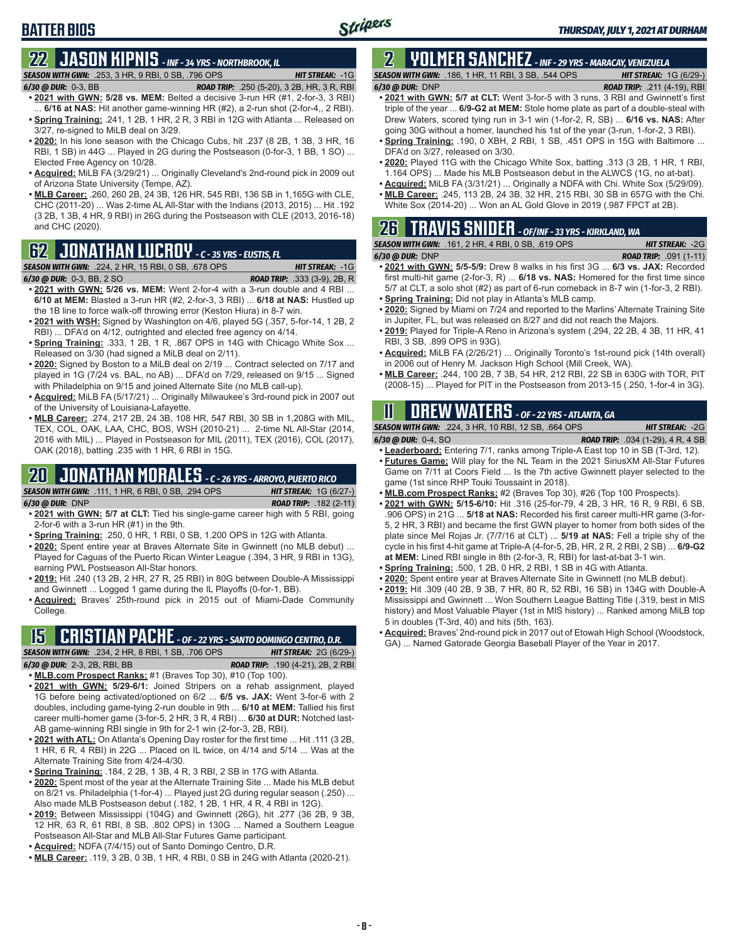# **22 JASON KIPNIS** *- INF - 34 YRS - NORTHBROOK, IL*

*SEASON WITH GWN:*.253, 3 HR, 9 RBI, 0 SB, .796 OPS *HIT STREAK:* -1G

*6/30 @ DUR:*0-3, BB *ROAD TRIP:* .250 (5-20), 3 2B, HR, 3 R, RBI

**BATTER BIOS**

**• 2021 with GWN: 5/28 vs. MEM:** Belted a decisive 3-run HR (#1, 2-for-3, 3 RBI) 6/16 at NAS: Hit another game-winning HR (#2), a 2-run shot (2-for-4,, 2 RBI). **• Spring Training:** .241, 1 2B, 1 HR, 2 R, 3 RBI in 12G with Atlanta ... Released on

- 3/27, re-signed to MiLB deal on 3/29. **• 2020:** In his lone season with the Chicago Cubs, hit .237 (8 2B, 1 3B, 3 HR, 16 RBI, 1 SB) in 44G ... Played in 2G during the Postseason (0-for-3, 1 BB, 1 SO) ... Elected Free Agency on 10/28.
- **• Acquired:** MiLB FA (3/29/21) ... Originally Cleveland's 2nd-round pick in 2009 out of Arizona State University (Tempe, AZ).
- **• MLB Career:** .260, 260 2B, 24 3B, 126 HR, 545 RBI, 136 SB in 1,165G with CLE, CHC (2011-20) ... Was 2-time AL All-Star with the Indians (2013, 2015) ... Hit .192 (3 2B, 1 3B, 4 HR, 9 RBI) in 26G during the Postseason with CLE (2013, 2016-18) and CHC (2020).

# **62 JONATHAN LUCROY** *- C - 35 YRS - EUSTIS, FL*

### *SEASON WITH GWN:*.224, 2 HR, 15 RBI, 0 SB, .678 OPS *HIT STREAK:* -1G

*6/30 @ DUR:*0-3, BB, 2 SO *ROAD TRIP:* .333 (3-9), 2B, R

- **• 2021 with GWN: 5/26 vs. MEM:** Went 2-for-4 with a 3-run double and 4 RBI ... **6/10 at MEM:** Blasted a 3-run HR (#2, 2-for-3, 3 RBI) ... **6/18 at NAS:** Hustled up the 1B line to force walk-off throwing error (Keston Hiura) in 8-7 win.
- **• 2021 with WSH:** Signed by Washington on 4/6, played 5G (.357, 5-for-14, 1 2B, 2 RBI) ... DFA'd on 4/12, outrighted and elected free agency on 4/14.
- **Spring Training:** 333, 1 2B, 1 R, .867 OPS in 14G with Chicago White Sox ... Released on 3/30 (had signed a MiLB deal on 2/11).
- **• 2020:** Signed by Boston to a MiLB deal on 2/19 ... Contract selected on 7/17 and played in 1G (7/24 vs. BAL, no AB) ... DFA'd on 7/29, released on 9/15 ... Signed with Philadelphia on 9/15 and joined Alternate Site (no MLB call-up).
- **• Acquired:** MiLB FA (5/17/21) ... Originally Milwaukee's 3rd-round pick in 2007 out of the University of Louisiana-Lafayette.
- **• MLB Career:** .274, 217 2B, 24 3B, 108 HR, 547 RBI, 30 SB in 1,208G with MIL, TEX, COL, OAK, LAA, CHC, BOS, WSH (2010-21) ... 2-time NL All-Star (2014, 2016 with MIL) ... Played in Postseason for MIL (2011), TEX (2016), COL (2017), OAK (2018), batting .235 with 1 HR, 6 RBI in 15G.

## **20 JONATHAN MORALES** *- C - 26 YRS - ARROYO, PUERTO RICO*

*SEASON WITH GWN:*.111, 1 HR, 6 RBI, 0 SB, .294 OPS *HIT STREAK:* 1G (6/27-) *6/30 @ DUR:*DNP *ROAD TRIP:* .182 (2-11)

- **• 2021 with GWN: 5/7 at CLT:** Tied his single-game career high with 5 RBI, going 2-for-6 with a 3-run HR (#1) in the 9th.
- **• Spring Training:** .250, 0 HR, 1 RBI, 0 SB, 1.200 OPS in 12G with Atlanta.
- **• 2020:** Spent entire year at Braves Alternate Site in Gwinnett (no MLB debut) ... Played for Caguas of the Puerto Rican Winter League (.394, 3 HR, 9 RBI in 13G), earning PWL Postseason All-Star honors.
- **• 2019:** Hit .240 (13 2B, 2 HR, 27 R, 25 RBI) in 80G between Double-A Mississippi and Gwinnett ... Logged 1 game during the IL Playoffs (0-for-1, BB).
- **• Acquired:** Braves' 25th-round pick in 2015 out of Miami-Dade Community College.

# **15 CRISTIAN PACHE** *- OF - 22 YRS - SANTO DOMINGO CENTRO, D.R.*

*SEASON WITH GWN:*.234, 2 HR, 8 RBI, 1 SB, .706 OPS *HIT STREAK:* 2G (6/29-) *6/30 @ DUR:* 2-3, 2B, RBI, BB *ROAD TRIP:* .190 (4-21), 2B, 2 RBI

**• MLB.com Prospect Ranks:** #1 (Braves Top 30), #10 (Top 100).

- **• 2021 with GWN: 5/29-6/1:** Joined Stripers on a rehab assignment, played 1G before being activated/optioned on 6/2 ... **6/5 vs. JAX:** Went 3-for-6 with 2 doubles, including game-tying 2-run double in 9th ... **6/10 at MEM:** Tallied his first career multi-homer game (3-for-5, 2 HR, 3 R, 4 RBI) ... **6/30 at DUR:** Notched last-AB game-winning RBI single in 9th for 2-1 win (2-for-3, 2B, RBI).
- **• 2021 with ATL:** On Atlanta's Opening Day roster for the first time ... Hit .111 (3 2B, 1 HR, 6 R, 4 RBI) in 22G ... Placed on IL twice, on 4/14 and 5/14 ... Was at the Alternate Training Site from 4/24-4/30.
- **• Spring Training:** .184, 2 2B, 1 3B, 4 R, 3 RBI, 2 SB in 17G with Atlanta.
- **• 2020:** Spent most of the year at the Alternate Training Site ... Made his MLB debut on 8/21 vs. Philadelphia (1-for-4) ... Played just 2G during regular season (.250) ... Also made MLB Postseason debut (.182, 1 2B, 1 HR, 4 R, 4 RBI in 12G).
- **• 2019:** Between Mississippi (104G) and Gwinnett (26G), hit .277 (36 2B, 9 3B, 12 HR, 63 R, 61 RBI, 8 SB, .802 OPS) in 130G ... Named a Southern League Postseason All-Star and MLB All-Star Futures Game participant.
- **• Acquired:** NDFA (7/4/15) out of Santo Domingo Centro, D.R.
- **• MLB Career:** .119, 3 2B, 0 3B, 1 HR, 4 RBI, 0 SB in 24G with Atlanta (2020-21).

### **2 YOLMER SANCHEZ** *- INF - 29 YRS - MARACAY, VENEZUELA SEASON WITH GWN:*.186, 1 HR, 11 RBI, 3 SB, .544 OPS *HIT STREAK:* 1G (6/29-)

*6/30 @ DUR:*DNP *ROAD TRIP:* .211 (4-19), RBI

- **• 2021 with GWN: 5/7 at CLT:** Went 3-for-5 with 3 runs, 3 RBI and Gwinnett's first triple of the year ... **6/9-G2 at MEM:** Stole home plate as part of a double-steal with Drew Waters, scored tying run in 3-1 win (1-for-2, R, SB) ... **6/16 vs. NAS:** After going 30G without a homer, launched his 1st of the year (3-run, 1-for-2, 3 RBI).
- **• Spring Training:** .190, 0 XBH, 2 RBI, 1 SB, .451 OPS in 15G with Baltimore ... DFA'd on 3/27, released on 3/30.
- **• 2020:** Played 11G with the Chicago White Sox, batting .313 (3 2B, 1 HR, 1 RBI, 1.164 OPS) ... Made his MLB Postseason debut in the ALWCS (1G, no at-bat).
- **• Acquired:** MiLB FA (3/31/21) ... Originally a NDFA with Chi. White Sox (5/29/09).
- **• MLB Career:** .245, 113 2B, 24 3B, 32 HR, 215 RBI, 30 SB in 657G with the Chi. White Sox (2014-20) ... Won an AL Gold Glove in 2019 (.987 FPCT at 2B).

# **26 TRAVIS SNIDER** *- OF/INF - 33 YRS - KIRKLAND, WA*

| <b>SEASON WITH GWN:</b> .161, 2 HR, 4 RBI, 0 SB, .619 OPS | <b>HIT STREAK: -2G</b>         |
|-----------------------------------------------------------|--------------------------------|
| $6/30$ @ DUR: DNP                                         | <b>ROAD TRIP:</b> $.091(1-11)$ |

- **• 2021 with GWN: 5/5-5/9:** Drew 8 walks in his first 3G ... **6/3 vs. JAX:** Recorded first multi-hit game (2-for-3, R) ... **6/18 vs. NAS:** Homered for the first time since 5/7 at CLT, a solo shot (#2) as part of 6-run comeback in 8-7 win (1-for-3, 2 RBI). **• Spring Training:** Did not play in Atlanta's MLB camp.
- 
- **• 2020:** Signed by Miami on 7/24 and reported to the Marlins' Alternate Training Site in Jupiter, FL, but was released on 8/27 and did not reach the Majors.
- **• 2019:** Played for Triple-A Reno in Arizona's system (.294, 22 2B, 4 3B, 11 HR, 41 RBI, 3 SB, .899 OPS in 93G).
- **• Acquired:** MiLB FA (2/26/21) ... Originally Toronto's 1st-round pick (14th overall) in 2006 out of Henry M. Jackson High School (Mill Creek, WA).
- **• MLB Career:** .244, 100 2B, 7 3B, 54 HR, 212 RBI, 22 SB in 630G with TOR, PIT (2008-15) ... Played for PIT in the Postseason from 2013-15 (.250, 1-for-4 in 3G).

# **11 Drew WATERS** *- OF - 22 YRS - ATLANTA, GA*

*SEASON WITH GWN:*.224, 3 HR, 10 RBI, 12 SB, .664 OPS *HIT STREAK:* -2G

*6/30 @ DUR:*0-4, SO *ROAD TRIP:* .034 (1-29), 4 R, 4 SB

- **• Leaderboard:** Entering 7/1, ranks among Triple-A East top 10 in SB (T-3rd, 12). **• Futures Game:** Will play for the NL Team in the 2021 SiriusXM All-Star Futures
- Game on 7/11 at Coors Field ... Is the 7th active Gwinnett player selected to the game (1st since RHP Touki Toussaint in 2018).
- **• MLB.com Prospect Ranks:** #2 (Braves Top 30), #26 (Top 100 Prospects).
- **• 2021 with GWN: 5/15-6/10:** Hit .316 (25-for-79, 4 2B, 3 HR, 16 R, 9 RBI, 6 SB, .906 OPS) in 21G ... **5/18 at NAS:** Recorded his first career multi-HR game (3-for-5, 2 HR, 3 RBI) and became the first GWN player to homer from both sides of the plate since Mel Rojas Jr. (7/7/16 at CLT) ... **5/19 at NAS:** Fell a triple shy of the cycle in his first 4-hit game at Triple-A (4-for-5, 2B, HR, 2 R, 2 RBI, 2 SB) ... **6/9-G2 at MEM:** Lined RBI single in 8th (2-for-3, R, RBI) for last-at-bat 3-1 win.
- **• Spring Training:** .500, 1 2B, 0 HR, 2 RBI, 1 SB in 4G with Atlanta.
- **• 2020:** Spent entire year at Braves Alternate Site in Gwinnett (no MLB debut).
- **• 2019:** Hit .309 (40 2B, 9 3B, 7 HR, 80 R, 52 RBI, 16 SB) in 134G with Double-A Mississippi and Gwinnett ... Won Southern League Batting Title (.319, best in MIS history) and Most Valuable Player (1st in MIS history) ... Ranked among MiLB top 5 in doubles (T-3rd, 40) and hits (5th, 163).
- **• Acquired:** Braves' 2nd-round pick in 2017 out of Etowah High School (Woodstock, GA) ... Named Gatorade Georgia Baseball Player of the Year in 2017.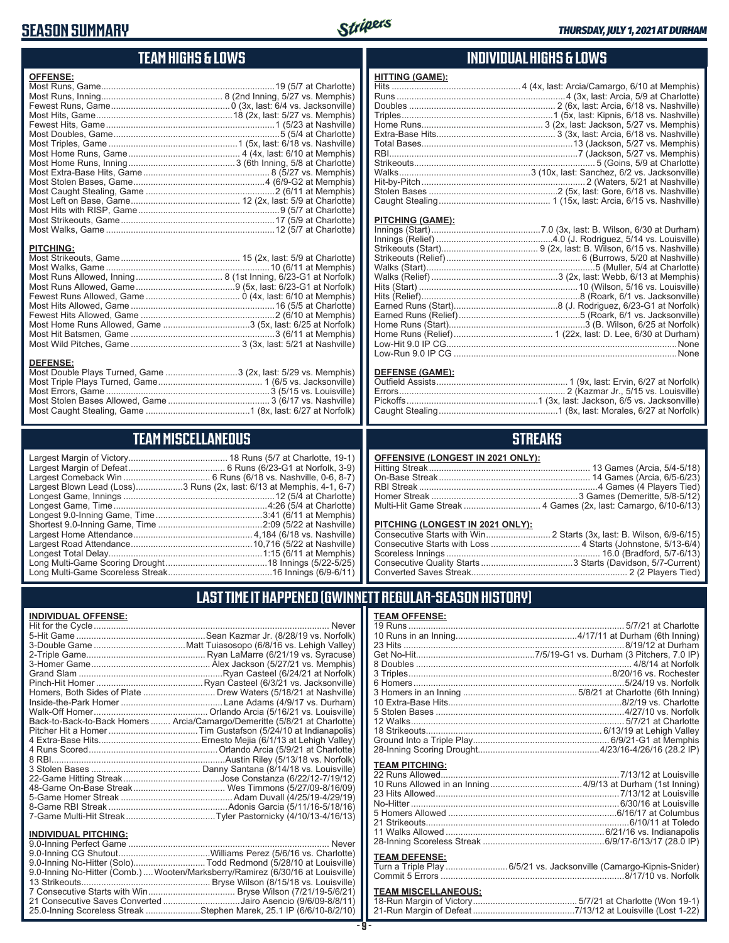## **SEASON SUMMARY**



## **TEAM HIGHS & LOWS**

| <b>OFFENSE:</b>  |  |
|------------------|--|
|                  |  |
|                  |  |
|                  |  |
|                  |  |
|                  |  |
|                  |  |
|                  |  |
|                  |  |
|                  |  |
|                  |  |
|                  |  |
|                  |  |
|                  |  |
|                  |  |
|                  |  |
|                  |  |
|                  |  |
| <b>PITCHING:</b> |  |
|                  |  |
|                  |  |
|                  |  |
|                  |  |
|                  |  |
|                  |  |
|                  |  |
|                  |  |

Most Hit Batsmen, Game ..........................................................3 (6/11 at Memphis) Most Wild Pitches, Game ............................................ 3 (3x, last: 5/21 at Nashville)

Most Double Plays Turned, Game .............................3 (2x, last: 5/29 vs. Memphis) Most Triple Plays Turned, Game .......................................... 1 (6/5 vs. Jacksonville) Most Errors, Game ..................................................................3 (5/15 vs. Louisville) Most Stolen Bases Allowed, Game ......................................... 3 (6/17 vs. Nashville) Most Caught Stealing, Game ..........................................1 (8x, last: 6/27 at Norfolk)

**TEAM MISCELLANEOUS** Largest Margin of Victory........................................ 18 Runs (5/7 at Charlotte, 19-1) Largest Margin of Defeat ....................................... 6 Runs (6/23-G1 at Norfolk, 3-9) Largest Comeback Win ................................... 6 Runs (6/18 vs. Nashville, 0-6, 8-7) Largest Blown Lead (Loss)...................3 Runs (2x, last: 6/13 at Memphis, 4-1, 6-7) Longest Game, Innings .............................................................12 (5/4 at Charlotte) Longest Game, Time ..............................................................4:26 (5/4 at Charlotte) Longest 9.0-Inning Game, Time ...........................................3:41 (6/11 at Memphis) Shortest 9.0-Inning Game, Time ..........................................2:09 (5/22 at Nashville) Largest Home Attendance ................................................ 4,184 (6/18 vs. Nashville) Largest Road Attendance .................................................10,716 (5/22 at Nashville) Longest Total Delay..............................................................1:15 (6/11 at Memphis) Long Multi-Game Scoring Drought .........................................18 Innings (5/22-5/25) Long Multi-Game Scoreless Streak ..........................................16 Innings (6/9-6/11)

### **INDIVIDUAL HIGHS & LOWS**

| HITTING (GAME): |                                                                         |
|-----------------|-------------------------------------------------------------------------|
|                 |                                                                         |
|                 |                                                                         |
|                 |                                                                         |
|                 |                                                                         |
|                 |                                                                         |
|                 |                                                                         |
|                 |                                                                         |
|                 |                                                                         |
|                 |                                                                         |
|                 |                                                                         |
|                 |                                                                         |
|                 |                                                                         |
|                 | Caught Stealing……………………………………… 1 (15x, last: Arcia, 6/15 vs. Nashville) |
|                 |                                                                         |

#### **PITCHING (GAME):**

| Low-Run 9.0 IP CG ………………………………………………………………………………………None |
|---------------------------------------------------------|
|                                                         |

### **DEFENSE (GAME):**

### **STREAKS**

| OFFENSIVE (LONGEST IN 2021 ONLY): |
|-----------------------------------|
|-----------------------------------|

#### **PITCHING (LONGEST IN 2021 ONLY):**

### **LAST TIME IT HAPPENED (GWINNETT REGULAR-SEASON HISTORY)**

### **INDIVIDUAL OFFENSE:**

**DEFENSE:**

|                             | Back-to-Back-to-Back Homers  Arcia/Camargo/Demeritte (5/8/21 at Charlotte) |
|-----------------------------|----------------------------------------------------------------------------|
|                             |                                                                            |
|                             |                                                                            |
|                             |                                                                            |
|                             |                                                                            |
|                             |                                                                            |
|                             |                                                                            |
|                             |                                                                            |
|                             |                                                                            |
|                             |                                                                            |
|                             |                                                                            |
|                             |                                                                            |
| <b>INDIVIDUAL PITCHING:</b> |                                                                            |
|                             |                                                                            |

| 9.0-Inning No-Hitter (Solo)Todd Redmond (5/28/10 at Louisville)                |  |
|--------------------------------------------------------------------------------|--|
| 9.0-Inning No-Hitter (Comb.) Wooten/Marksberry/Ramirez (6/30/16 at Louisville) |  |
|                                                                                |  |
|                                                                                |  |
| 21 Consecutive Saves Converted Jairo Asencio (9/6/09-8/8/11)                   |  |
| 25.0-Inning Scoreless Streak Stephen Marek, 25.1 IP (6/6/10-8/2/10)            |  |
|                                                                                |  |

#### **- 9 -**

| <b>TEAM OFFENSE:</b> |  |
|----------------------|--|
|                      |  |
|                      |  |
|                      |  |
|                      |  |
|                      |  |
|                      |  |
|                      |  |
|                      |  |
|                      |  |
|                      |  |
|                      |  |
|                      |  |
|                      |  |
|                      |  |
|                      |  |

### **TEAM PITCHING:**

#### **TEAM DEFENSE:**

| Turn a Triple Play 6/5/21 vs. Jacksonville (Camargo-Kipnis-Snider) |  |
|--------------------------------------------------------------------|--|
|                                                                    |  |

## **TEAM MISCELLANEOUS:**